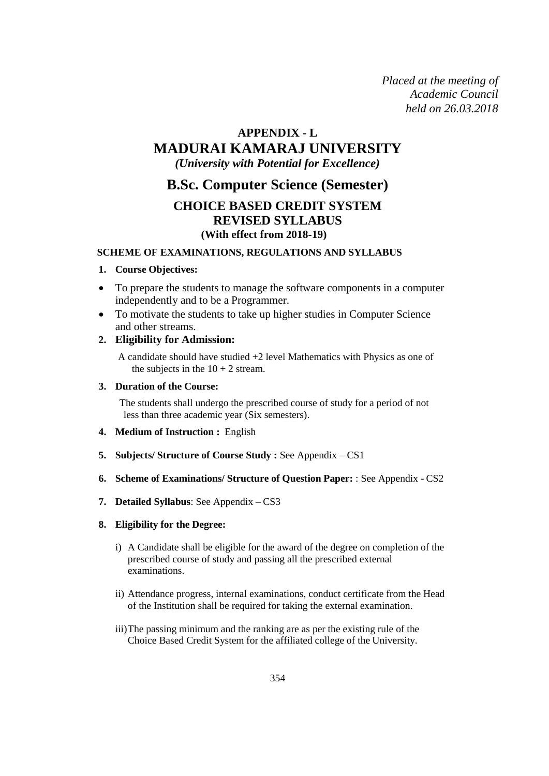*Placed at the meeting of Academic Council held on 26.03.2018*

# **APPENDIX - L**

# **MADURAI KAMARAJ UNIVERSITY**

*(University with Potential for Excellence)*

# **B.Sc. Computer Science (Semester)**

# **CHOICE BASED CREDIT SYSTEM REVISED SYLLABUS (With effect from 2018-19)**

### **SCHEME OF EXAMINATIONS, REGULATIONS AND SYLLABUS**

### **1. Course Objectives:**

- To prepare the students to manage the software components in a computer independently and to be a Programmer.
- To motivate the students to take up higher studies in Computer Science and other streams.

# **2. Eligibility for Admission:**

A candidate should have studied +2 level Mathematics with Physics as one of the subjects in the  $10 + 2$  stream.

### **3. Duration of the Course:**

The students shall undergo the prescribed course of study for a period of not less than three academic year (Six semesters).

- **4. Medium of Instruction :** English
- **5. Subjects/ Structure of Course Study :** See Appendix CS1
- **6. Scheme of Examinations/ Structure of Question Paper:** : See Appendix CS2
- **7. Detailed Syllabus**: See Appendix CS3

### **8. Eligibility for the Degree:**

- i) A Candidate shall be eligible for the award of the degree on completion of the prescribed course of study and passing all the prescribed external examinations.
- ii) Attendance progress, internal examinations, conduct certificate from the Head of the Institution shall be required for taking the external examination.
- iii)The passing minimum and the ranking are as per the existing rule of the Choice Based Credit System for the affiliated college of the University.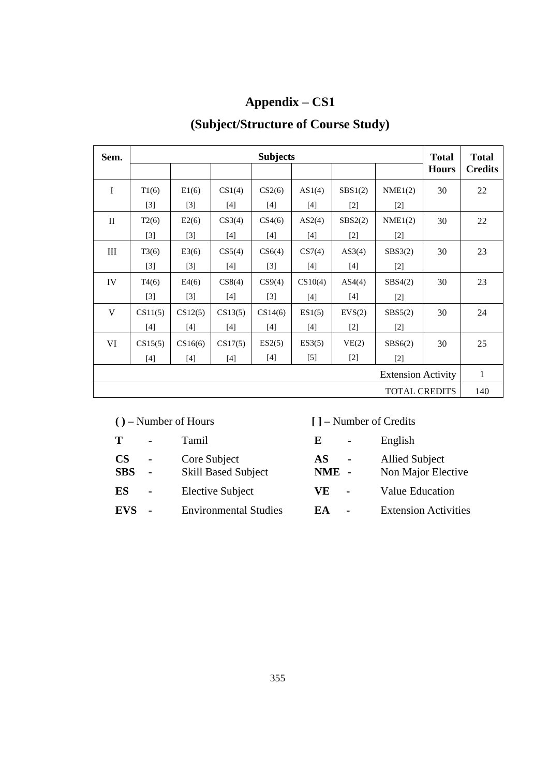# **Appendix – CS1**

# **(Subject/Structure of Course Study)**

| Sem.                      |         |         |         | <b>Subjects</b> |         |         |         | <b>Total</b><br><b>Hours</b> | <b>Total</b><br><b>Credits</b> |
|---------------------------|---------|---------|---------|-----------------|---------|---------|---------|------------------------------|--------------------------------|
| I                         | T1(6)   | E1(6)   | CS1(4)  | CS2(6)          | AS1(4)  | SBS1(2) | NME1(2) | 30                           | 22                             |
|                           | $[3]$   | $[3]$   | $[4]$   | $[4]$           | $[4]$   | $[2]$   | $[2]$   |                              |                                |
| $\mathbf{I}$              | T2(6)   | E2(6)   | CS3(4)  | CS4(6)          | AS2(4)  | SBS2(2) | NME1(2) | 30                           | 22                             |
|                           | $[3]$   | $[3]$   | $[4]$   | $[4]$           | $[4]$   | $[2]$   | $[2]$   |                              |                                |
| III                       | T3(6)   | E3(6)   | CS5(4)  | CS6(4)          | CS7(4)  | AS3(4)  | SBS3(2) | 30                           | 23                             |
|                           | $[3]$   | $[3]$   | [4]     | $[3]$           | $[4]$   | $[4]$   | $[2]$   |                              |                                |
| IV                        | T4(6)   | E4(6)   | CS8(4)  | CS9(4)          | CS10(4) | AS4(4)  | SBS4(2) | 30                           | 23                             |
|                           | $[3]$   | $[3]$   | $[4]$   | $[3]$           | $[4]$   | $[4]$   | $[2]$   |                              |                                |
| V                         | CS11(5) | CS12(5) | CS13(5) | CS14(6)         | ES1(5)  | EVS(2)  | SBS5(2) | 30                           | 24                             |
|                           | $[4]$   | $[4]$   | $[4]$   | $[4]$           | $[4]$   | $[2]$   | $[2]$   |                              |                                |
| VI                        | CS15(5) | CS16(6) | CS17(5) | ES2(5)          | ES3(5)  | VE(2)   | SBS6(2) | 30                           | 25                             |
|                           | $[4]$   | $[4]$   | $[4]$   | $[4]$           | $[5]$   | $[2]$   | $[2]$   |                              |                                |
| <b>Extension Activity</b> |         |         |         |                 |         |         | 1       |                              |                                |
| <b>TOTAL CREDITS</b>      |         |         |         |                 |         |         | 140     |                              |                                |

# **( ) –** Number of Hours **[ ] –** Number of Credits

| T                | $\blacksquare$           | Tamil                                      | E            | $\blacksquare$ | English                                     |
|------------------|--------------------------|--------------------------------------------|--------------|----------------|---------------------------------------------|
| CS<br><b>SBS</b> | $\blacksquare$<br>$\sim$ | Core Subject<br><b>Skill Based Subject</b> | AS.<br>NME - | $\sim$ $-$     | <b>Allied Subject</b><br>Non Major Elective |
| ES               | $\blacksquare$           | Elective Subject                           | VE.          | $\blacksquare$ | <b>Value Education</b>                      |
| EVS              | $\overline{\phantom{a}}$ | <b>Environmental Studies</b>               | EA           | $\blacksquare$ | <b>Extension Activities</b>                 |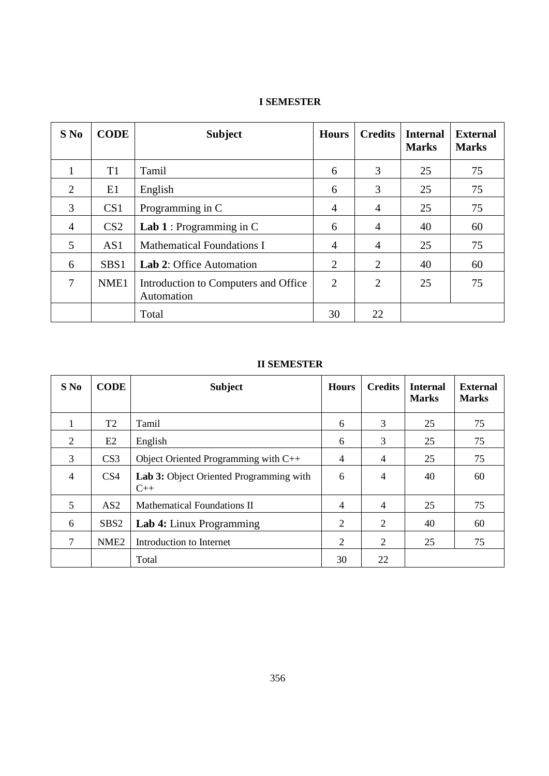| $S$ No         | <b>CODE</b>      | <b>Subject</b>                                     | <b>Hours</b>   | <b>Credits</b> | <b>Internal</b><br><b>Marks</b> | <b>External</b><br><b>Marks</b> |
|----------------|------------------|----------------------------------------------------|----------------|----------------|---------------------------------|---------------------------------|
| 1              | T <sub>1</sub>   | Tamil                                              | 6              | 3              | 25                              | 75                              |
| $\overline{2}$ | E1               | English                                            | 6              | 3              | 25                              | 75                              |
| 3              | CS <sub>1</sub>  | Programming in C                                   | $\overline{4}$ | $\overline{4}$ | 25                              | 75                              |
| 4              | CS <sub>2</sub>  | <b>Lab 1</b> : Programming in $C$                  | 6              | 4              | 40                              | 60                              |
| 5              | AS1              | <b>Mathematical Foundations I</b>                  | $\overline{4}$ | $\overline{4}$ | 25                              | 75                              |
| 6              | SBS <sub>1</sub> | <b>Lab 2: Office Automation</b>                    | $\overline{2}$ | 2              | 40                              | 60                              |
| 7              | NME <sub>1</sub> | Introduction to Computers and Office<br>Automation | $\overline{2}$ | $\overline{2}$ | 25                              | 75                              |
|                |                  | Total                                              | 30             | 22             |                                 |                                 |

# **I SEMESTER**

# **II SEMESTER**

| $S$ No         | <b>CODE</b>      | <b>Subject</b>                                   | <b>Hours</b> | <b>Credits</b> | <b>Internal</b><br><b>Marks</b> | <b>External</b><br><b>Marks</b> |
|----------------|------------------|--------------------------------------------------|--------------|----------------|---------------------------------|---------------------------------|
| л.             | T <sub>2</sub>   | Tamil                                            | 6            | 3              | 25                              | 75                              |
| 2              | E2               | English                                          | 6            | 3              | 25                              | 75                              |
| 3              | CS <sub>3</sub>  | Object Oriented Programming with $C++$           | 4            | $\overline{4}$ | 25                              | 75                              |
| $\overline{4}$ | CS <sub>4</sub>  | Lab 3: Object Oriented Programming with<br>$C++$ | 6            | $\overline{4}$ | 40                              | 60                              |
| 5              | AS2              | <b>Mathematical Foundations II</b>               | 4            | $\overline{4}$ | 25                              | 75                              |
| 6              | SBS <sub>2</sub> | Lab 4: Linux Programming                         | 2            | 2              | 40                              | 60                              |
| 7              | NME <sub>2</sub> | Introduction to Internet                         | 2            | 2              | 25                              | 75                              |
|                |                  | Total                                            | 30           | 22             |                                 |                                 |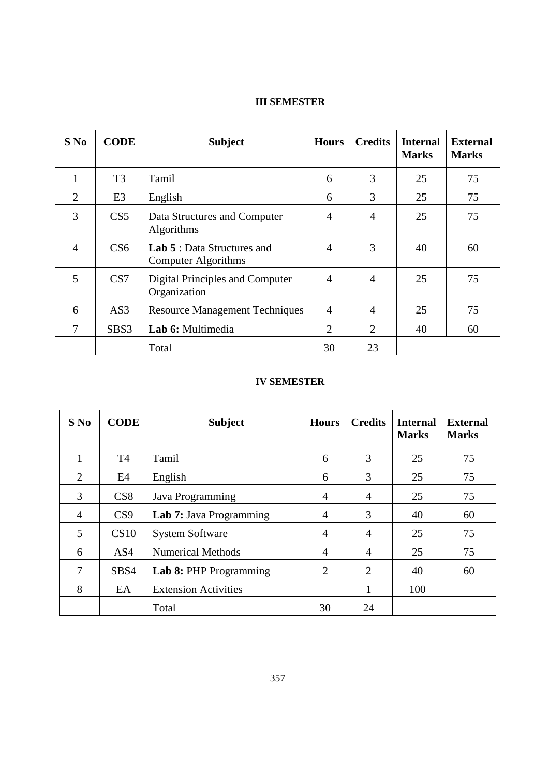# **III SEMESTER**

| $S$ No         | <b>CODE</b>     | <b>Subject</b>                                            | <b>Hours</b>   | <b>Credits</b> | <b>Internal</b><br><b>Marks</b> | <b>External</b><br><b>Marks</b> |
|----------------|-----------------|-----------------------------------------------------------|----------------|----------------|---------------------------------|---------------------------------|
|                | T <sub>3</sub>  | Tamil                                                     | 6              | 3              | 25                              | 75                              |
| $\overline{2}$ | E <sub>3</sub>  | English                                                   | 6              | 3              | 25                              | 75                              |
| 3              | CS <sub>5</sub> | Data Structures and Computer<br><b>Algorithms</b>         | $\overline{4}$ | 4              | 25                              | 75                              |
| $\overline{4}$ | CS <sub>6</sub> | <b>Lab 5</b> : Data Structures and<br>Computer Algorithms | $\overline{4}$ | 3              | 40                              | 60                              |
| 5              | CS7             | Digital Principles and Computer<br>Organization           | $\overline{4}$ | $\overline{4}$ | 25                              | 75                              |
| 6              | AS3             | <b>Resource Management Techniques</b>                     | $\overline{4}$ | $\overline{4}$ | 25                              | 75                              |
| 7              | SBS3            | Lab 6: Multimedia                                         | 2              | $\overline{2}$ | 40                              | 60                              |
|                |                 | Total                                                     | 30             | 23             |                                 |                                 |

# **IV SEMESTER**

| $S$ No         | <b>CODE</b>     | <b>Subject</b>              | <b>Hours</b>   | <b>Credits</b> | <b>Internal</b><br><b>Marks</b> | <b>External</b><br><b>Marks</b> |
|----------------|-----------------|-----------------------------|----------------|----------------|---------------------------------|---------------------------------|
| 1              | <b>T4</b>       | Tamil                       | 6              | 3              | 25                              | 75                              |
| 2              | E4              | English                     | 6              | 3              | 25                              | 75                              |
| 3              | CS8             | Java Programming            | $\overline{4}$ | $\overline{4}$ | 25                              | 75                              |
| $\overline{4}$ | CS <sub>9</sub> | Lab 7: Java Programming     | $\overline{4}$ | 3              | 40                              | 60                              |
| 5              | CS10            | <b>System Software</b>      | 4              | $\overline{4}$ | 25                              | 75                              |
| 6              | AS4             | <b>Numerical Methods</b>    | $\overline{4}$ | $\overline{4}$ | 25                              | 75                              |
| 7              | SBS4            | Lab 8: PHP Programming      | $\overline{2}$ | 2              | 40                              | 60                              |
| 8              | EA              | <b>Extension Activities</b> |                |                | 100                             |                                 |
|                |                 | Total                       | 30             | 24             |                                 |                                 |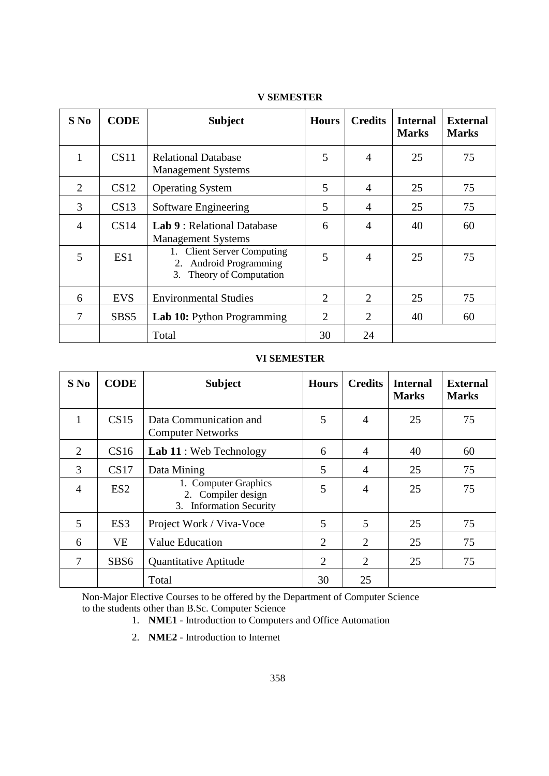| $S$ No         | <b>CODE</b>      | <b>Subject</b>                                                                                | <b>Hours</b>   | <b>Credits</b> | <b>Internal</b><br><b>Marks</b> | <b>External</b><br><b>Marks</b> |
|----------------|------------------|-----------------------------------------------------------------------------------------------|----------------|----------------|---------------------------------|---------------------------------|
| $\mathbf{1}$   | CS11             | <b>Relational Database</b><br><b>Management Systems</b>                                       | 5              | $\overline{4}$ | 25                              | 75                              |
| 2              | CS12             | <b>Operating System</b>                                                                       | 5              | $\overline{4}$ | 25                              | 75                              |
| 3              | CS13             | Software Engineering                                                                          | 5              | 4              | 25                              | 75                              |
| $\overline{4}$ | CS14             | <b>Lab 9: Relational Database</b><br><b>Management Systems</b>                                | 6              | $\overline{4}$ | 40                              | 60                              |
| 5              | ES1              | 1. Client Server Computing<br><b>Android Programming</b><br>2.<br>Theory of Computation<br>3. | 5              | $\overline{4}$ | 25                              | 75                              |
| 6              | <b>EVS</b>       | <b>Environmental Studies</b>                                                                  | $\overline{2}$ | 2              | 25                              | 75                              |
| 7              | SBS <sub>5</sub> | <b>Lab 10:</b> Python Programming                                                             | $\overline{2}$ | $\overline{2}$ | 40                              | 60                              |
|                |                  | Total                                                                                         | 30             | 24             |                                 |                                 |

# **V SEMESTER**

### **VI SEMESTER**

| $S$ No         | <b>CODE</b>      | <b>Subject</b>                                                                  | <b>Hours</b>   | <b>Credits</b> | <b>Internal</b><br><b>Marks</b> | <b>External</b><br><b>Marks</b> |
|----------------|------------------|---------------------------------------------------------------------------------|----------------|----------------|---------------------------------|---------------------------------|
| 1              | CS15             | Data Communication and<br><b>Computer Networks</b>                              | 5              | $\overline{4}$ | 25                              | 75                              |
| $\overline{2}$ | CS16             | Lab 11 : Web Technology                                                         | 6              | 4              | 40                              | 60                              |
| 3              | CS17             | Data Mining                                                                     | 5              | 4              | 25                              | 75                              |
| $\overline{4}$ | ES <sub>2</sub>  | 1. Computer Graphics<br>2. Compiler design<br><b>Information Security</b><br>3. | 5              | $\overline{4}$ | 25                              | 75                              |
| 5              | ES <sub>3</sub>  | Project Work / Viva-Voce                                                        | 5              | 5              | 25                              | 75                              |
| 6              | <b>VE</b>        | Value Education                                                                 | $\overline{2}$ | $\overline{2}$ | 25                              | 75                              |
| 7              | SBS <sub>6</sub> | <b>Quantitative Aptitude</b>                                                    | $\overline{2}$ | $\overline{2}$ | 25                              | 75                              |
|                |                  | Total                                                                           | 30             | 25             |                                 |                                 |

Non-Major Elective Courses to be offered by the Department of Computer Science to the students other than B.Sc. Computer Science

- 1. **NME1**  Introduction to Computers and Office Automation
- 2. **NME2**  Introduction to Internet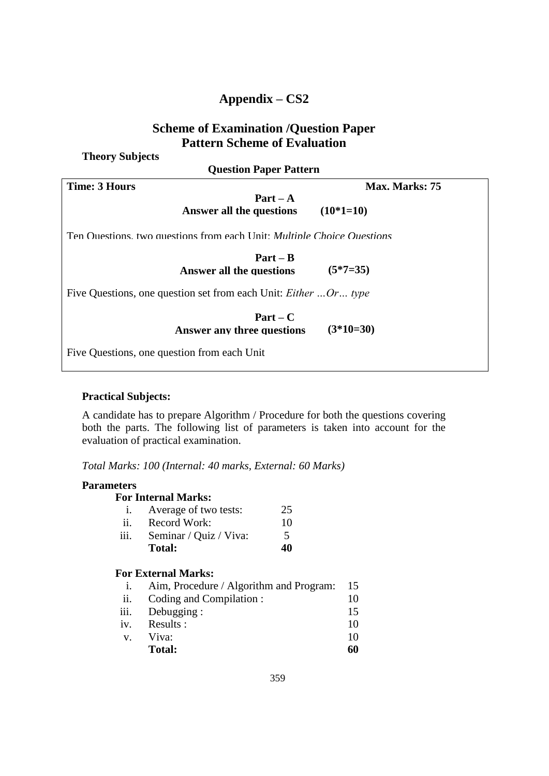# **Appendix – CS2**

# **Scheme of Examination /Question Paper Pattern Scheme of Evaluation**

**Theory Subjects**

**Question Paper Pattern**

| <b>Time: 3 Hours</b>                                                          | Max. Marks: 75 |  |  |  |  |
|-------------------------------------------------------------------------------|----------------|--|--|--|--|
| $Part - A$                                                                    |                |  |  |  |  |
| Answer all the questions                                                      | $(10*1=10)$    |  |  |  |  |
| Ten Questions, two questions from each Unit: <i>Multiple Choice Questions</i> |                |  |  |  |  |
| $Part - B$                                                                    |                |  |  |  |  |
| <b>Answer all the questions</b>                                               | $(5*7=35)$     |  |  |  |  |
| Five Questions, one question set from each Unit: <i>Either</i> Or type        |                |  |  |  |  |
| $Part - C$                                                                    |                |  |  |  |  |
| <b>Answer any three questions</b>                                             | $(3*10=30)$    |  |  |  |  |

Five Questions, one question from each Unit

# **Practical Subjects:**

A candidate has to prepare Algorithm / Procedure for both the questions covering both the parts. The following list of parameters is taken into account for the evaluation of practical examination.

*Total Marks: 100 (Internal: 40 marks, External: 60 Marks)*

# **Parameters**

| Average of two tests:  | 25                               |
|------------------------|----------------------------------|
| Record Work:           | 10                               |
| Seminar / Quiz / Viva: | $\overline{\phantom{1}}$         |
| <b>Total:</b>          | 40                               |
|                        | <b>For Internal Marks:</b><br>1. |

# **For External Marks:**

|         | Aim, Procedure / Algorithm and Program: | 15 |
|---------|-----------------------------------------|----|
| ii.     | Coding and Compilation:                 | 10 |
| iii.    | Debugging:                              | 15 |
| iv.     | Results:                                | 10 |
| $V_{-}$ | Viva:                                   | 10 |
|         | <b>Total:</b>                           | 60 |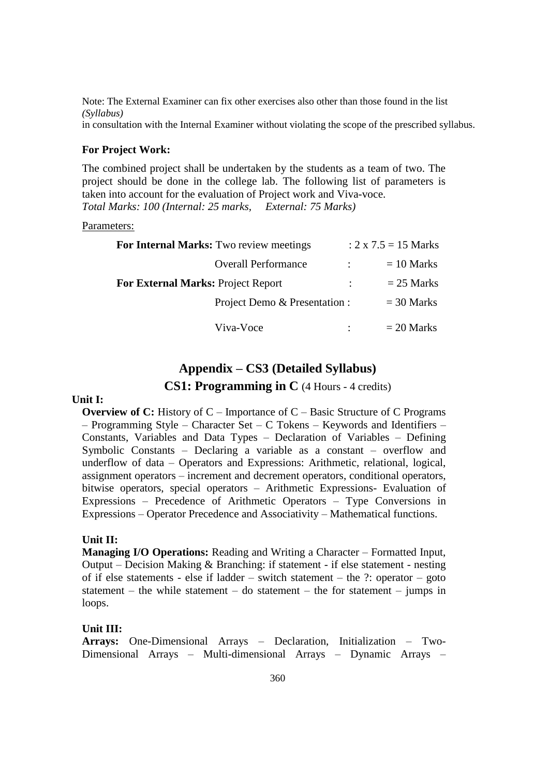Note: The External Examiner can fix other exercises also other than those found in the list *(Syllabus)*

in consultation with the Internal Examiner without violating the scope of the prescribed syllabus.

### **For Project Work:**

The combined project shall be undertaken by the students as a team of two. The project should be done in the college lab. The following list of parameters is taken into account for the evaluation of Project work and Viva-voce. *Total Marks: 100 (Internal: 25 marks, External: 75 Marks)*

Parameters:

| For Internal Marks: Two review meetings   |                           | : $2 \times 7.5 = 15$ Marks |
|-------------------------------------------|---------------------------|-----------------------------|
| <b>Overall Performance</b>                |                           | $= 10$ Marks                |
| <b>For External Marks: Project Report</b> | $\mathbb{Z}^{\mathbb{Z}}$ | $= 25$ Marks                |
| Project Demo & Presentation :             |                           | $=$ 30 Marks                |
| Viva-Voce                                 |                           | $= 20$ Marks                |

# **Appendix – CS3 (Detailed Syllabus)**

# **CS1: Programming in C** (4 Hours - 4 credits)

### **Unit I:**

**Overview of C:** History of C – Importance of C – Basic Structure of C Programs – Programming Style – Character Set – C Tokens – Keywords and Identifiers – Constants, Variables and Data Types – Declaration of Variables – Defining Symbolic Constants – Declaring a variable as a constant – overflow and underflow of data – Operators and Expressions: Arithmetic, relational, logical, assignment operators – increment and decrement operators, conditional operators, bitwise operators, special operators – Arithmetic Expressions- Evaluation of Expressions – Precedence of Arithmetic Operators – Type Conversions in Expressions – Operator Precedence and Associativity – Mathematical functions.

### **Unit II:**

**Managing I/O Operations:** Reading and Writing a Character – Formatted Input, Output – Decision Making & Branching: if statement - if else statement - nesting of if else statements - else if ladder – switch statement – the ?: operator – goto statement – the while statement – do statement – the for statement – jumps in loops.

### **Unit III:**

**Arrays:** One-Dimensional Arrays – Declaration, Initialization – Two-Dimensional Arrays – Multi-dimensional Arrays – Dynamic Arrays –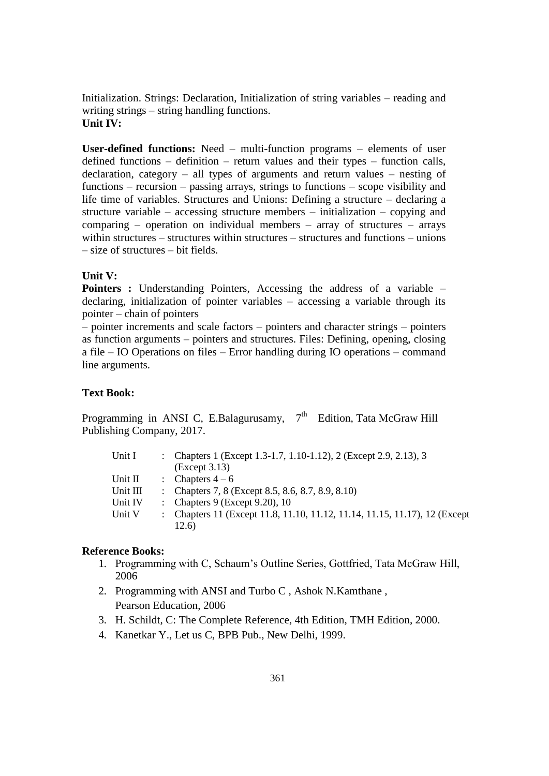Initialization. Strings: Declaration, Initialization of string variables – reading and writing strings – string handling functions. **Unit IV:**

**User-defined functions:** Need – multi-function programs – elements of user defined functions – definition – return values and their types – function calls, declaration, category – all types of arguments and return values – nesting of functions – recursion – passing arrays, strings to functions – scope visibility and life time of variables. Structures and Unions: Defining a structure – declaring a structure variable – accessing structure members – initialization – copying and comparing – operation on individual members – array of structures – arrays within structures – structures within structures – structures and functions – unions – size of structures – bit fields.

### **Unit V:**

**Pointers :** Understanding Pointers, Accessing the address of a variable – declaring, initialization of pointer variables – accessing a variable through its pointer – chain of pointers

– pointer increments and scale factors – pointers and character strings – pointers as function arguments – pointers and structures. Files: Defining, opening, closing a file – IO Operations on files – Error handling during IO operations – command line arguments.

### **Text Book:**

Programming in ANSI C, E.Balagurusamy,  $7<sup>th</sup>$  Edition, Tata McGraw Hill Publishing Company, 2017.

| Unit I   | : Chapters 1 (Except 1.3-1.7, 1.10-1.12), 2 (Except 2.9, 2.13), 3          |
|----------|----------------------------------------------------------------------------|
|          | (Except 3.13)                                                              |
| Unit II  | : Chapters $4-6$                                                           |
| Unit III | : Chapters 7, 8 (Except 8.5, 8.6, 8.7, 8.9, 8.10)                          |
| Unit IV  | : Chapters $9$ (Except $9.20$ ), 10                                        |
| Unit V   | : Chapters 11 (Except 11.8, 11.10, 11.12, 11.14, 11.15, 11.17), 12 (Except |
|          | 12.6)                                                                      |

### **Reference Books:**

- 1. Programming with C, Schaum's Outline Series, Gottfried, Tata McGraw Hill, 2006
- 2. Programming with ANSI and Turbo C , Ashok N.Kamthane , Pearson Education, 2006
- 3. H. Schildt, C: The Complete Reference, 4th Edition, TMH Edition, 2000.
- 4. Kanetkar Y., Let us C, BPB Pub., New Delhi, 1999.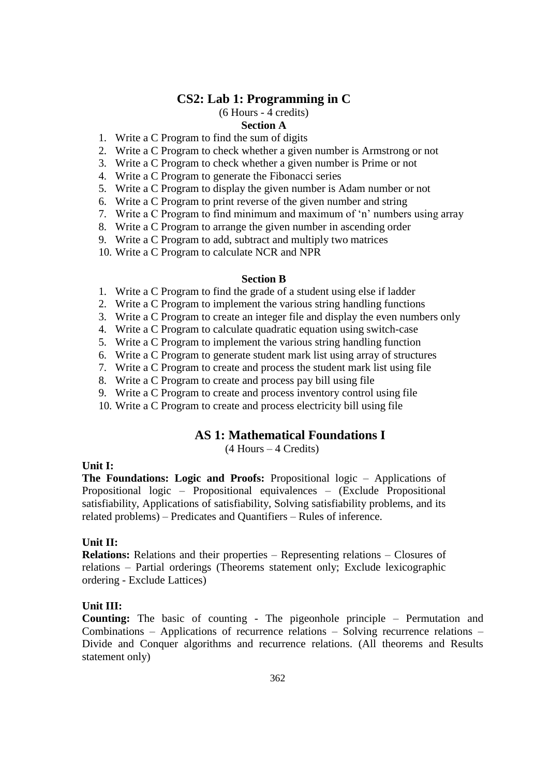# **CS2: Lab 1: Programming in C**

# (6 Hours - 4 credits)

# **Section A**

- 1. Write a C Program to find the sum of digits
- 2. Write a C Program to check whether a given number is Armstrong or not
- 3. Write a C Program to check whether a given number is Prime or not
- 4. Write a C Program to generate the Fibonacci series
- 5. Write a C Program to display the given number is Adam number or not
- 6. Write a C Program to print reverse of the given number and string
- 7. Write a C Program to find minimum and maximum of 'n' numbers using array
- 8. Write a C Program to arrange the given number in ascending order
- 9. Write a C Program to add, subtract and multiply two matrices
- 10. Write a C Program to calculate NCR and NPR

### **Section B**

- 1. Write a C Program to find the grade of a student using else if ladder
- 2. Write a C Program to implement the various string handling functions
- 3. Write a C Program to create an integer file and display the even numbers only
- 4. Write a C Program to calculate quadratic equation using switch-case
- 5. Write a C Program to implement the various string handling function
- 6. Write a C Program to generate student mark list using array of structures
- 7. Write a C Program to create and process the student mark list using file
- 8. Write a C Program to create and process pay bill using file
- 9. Write a C Program to create and process inventory control using file
- 10. Write a C Program to create and process electricity bill using file

# **AS 1: Mathematical Foundations I**

(4 Hours – 4 Credits)

### **Unit I:**

**The Foundations: Logic and Proofs:** Propositional logic – Applications of Propositional logic – Propositional equivalences – (Exclude Propositional satisfiability, Applications of satisfiability, Solving satisfiability problems, and its related problems) – Predicates and Quantifiers – Rules of inference.

### **Unit II:**

**Relations:** Relations and their properties – Representing relations – Closures of relations – Partial orderings (Theorems statement only; Exclude lexicographic ordering - Exclude Lattices)

### **Unit III:**

**Counting:** The basic of counting - The pigeonhole principle – Permutation and Combinations – Applications of recurrence relations – Solving recurrence relations – Divide and Conquer algorithms and recurrence relations. (All theorems and Results statement only)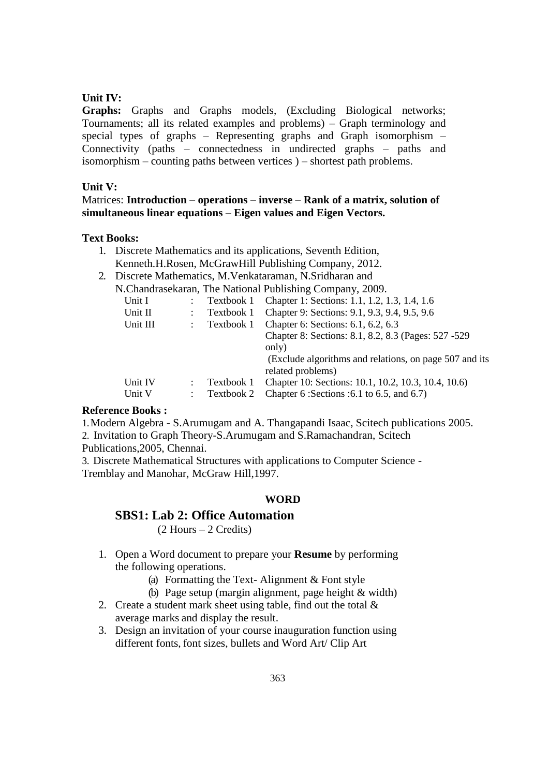# **Unit IV:**

**Graphs:** Graphs and Graphs models, (Excluding Biological networks; Tournaments; all its related examples and problems) – Graph terminology and special types of graphs – Representing graphs and Graph isomorphism – Connectivity (paths – connectedness in undirected graphs – paths and isomorphism – counting paths between vertices ) – shortest path problems.

# **Unit V:**

Matrices: **Introduction – operations – inverse – Rank of a matrix, solution of simultaneous linear equations – Eigen values and Eigen Vectors.**

### **Text Books:**

- 1. Discrete Mathematics and its applications, Seventh Edition, Kenneth.H.Rosen, McGrawHill Publishing Company, 2012.
- 2. Discrete Mathematics, M.Venkataraman, N.Sridharan and N.Chandrasekaran, The National Publishing Company, 2009.

|          |            | $\alpha$ . Changrasckarally The Foatfollar Fuorishing Company, 2007. |
|----------|------------|----------------------------------------------------------------------|
| Unit I   | Textbook 1 | Chapter 1: Sections: 1.1, 1.2, 1.3, 1.4, 1.6                         |
| Unit II  | Textbook 1 | Chapter 9: Sections: 9.1, 9.3, 9.4, 9.5, 9.6                         |
| Unit III | Textbook 1 | Chapter 6: Sections: 6.1, 6.2, 6.3                                   |
|          |            | Chapter 8: Sections: 8.1, 8.2, 8.3 (Pages: 527 -529)                 |
|          |            | only)                                                                |
|          |            | (Exclude algorithms and relations, on page 507 and its               |
|          |            | related problems)                                                    |
| Unit IV  | Textbook 1 | Chapter 10: Sections: 10.1, 10.2, 10.3, 10.4, 10.6)                  |
| Unit V   | Textbook 2 | Chapter 6: Sections : 6.1 to 6.5, and 6.7)                           |
|          |            |                                                                      |

### **Reference Books :**

1.Modern Algebra - S.Arumugam and A. Thangapandi Isaac, Scitech publications 2005. 2. Invitation to Graph Theory-S.Arumugam and S.Ramachandran, Scitech

Publications,2005, Chennai.

3. Discrete Mathematical Structures with applications to Computer Science - Tremblay and Manohar, McGraw Hill,1997.

### **WORD**

### **SBS1: Lab 2: Office Automation**

(2 Hours – 2 Credits)

- 1. Open a Word document to prepare your **Resume** by performing the following operations.
	- (a) Formatting the Text- Alignment & Font style
	- (b) Page setup (margin alignment, page height & width)
- 2. Create a student mark sheet using table, find out the total  $\&$ average marks and display the result.
- 3. Design an invitation of your course inauguration function using different fonts, font sizes, bullets and Word Art/ Clip Art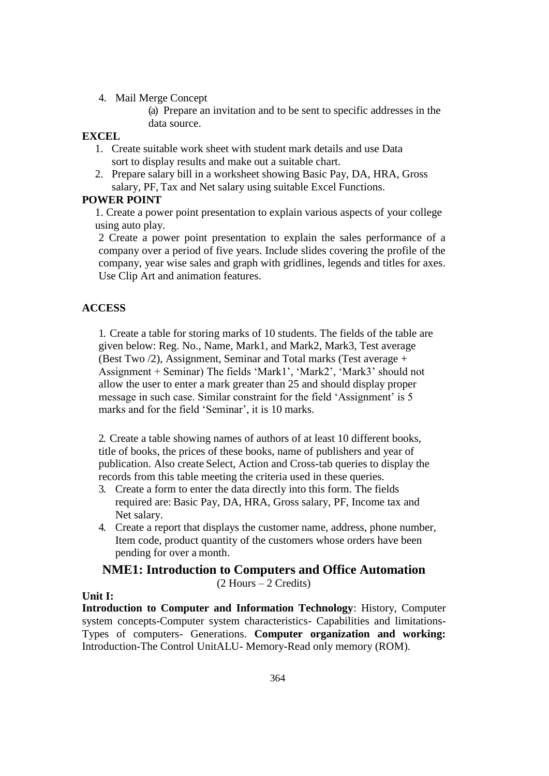4. Mail Merge Concept

(a) Prepare an invitation and to be sent to specific addresses in the data source.

### **EXCEL**

- 1. Create suitable work sheet with student mark details and use Data sort to display results and make out a suitable chart.
- 2. Prepare salary bill in a worksheet showing Basic Pay, DA, HRA, Gross salary, PF, Tax and Net salary using suitable Excel Functions.

# **POWER POINT**

1. Create a power point presentation to explain various aspects of your college using auto play.

2 Create a power point presentation to explain the sales performance of a company over a period of five years. Include slides covering the profile of the company, year wise sales and graph with gridlines, legends and titles for axes. Use Clip Art and animation features.

# **ACCESS**

1. Create a table for storing marks of 10 students. The fields of the table are given below: Reg. No., Name, Mark1, and Mark2, Mark3, Test average (Best Two /2), Assignment, Seminar and Total marks (Test average + Assignment + Seminar) The fields 'Mark1', 'Mark2', 'Mark3' should not allow the user to enter a mark greater than 25 and should display proper message in such case. Similar constraint for the field 'Assignment' is 5 marks and for the field 'Seminar', it is 10 marks.

2. Create a table showing names of authors of at least 10 different books, title of books, the prices of these books, name of publishers and year of publication. Also create Select, Action and Cross-tab queries to display the records from this table meeting the criteria used in these queries.

- 3. Create a form to enter the data directly into this form. The fields required are: Basic Pay, DA, HRA, Gross salary, PF, Income tax and Net salary.
- 4. Create a report that displays the customer name, address, phone number, Item code, product quantity of the customers whose orders have been pending for over a month.

### **NME1: Introduction to Computers and Office Automation** (2 Hours – 2 Credits)

### **Unit I:**

**Introduction to Computer and Information Technology**: History, Computer system concepts-Computer system characteristics- Capabilities and limitations-Types of computers- Generations. **Computer organization and working:**  Introduction-The Control UnitALU- Memory-Read only memory (ROM).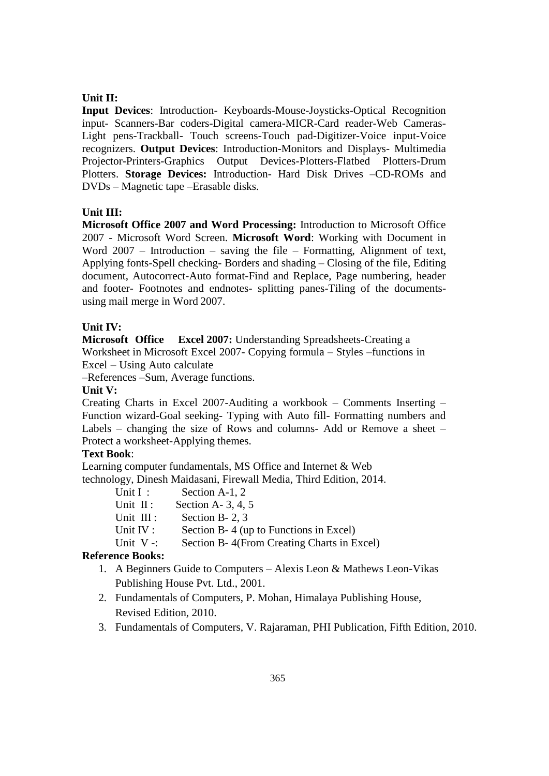### **Unit II:**

**Input Devices**: Introduction- Keyboards-Mouse-Joysticks-Optical Recognition input- Scanners-Bar coders-Digital camera-MICR-Card reader-Web Cameras-Light pens-Trackball- Touch screens-Touch pad-Digitizer-Voice input-Voice recognizers. **Output Devices**: Introduction-Monitors and Displays- Multimedia Projector-Printers-Graphics Output Devices-Plotters-Flatbed Plotters-Drum Plotters. **Storage Devices:** Introduction- Hard Disk Drives –CD-ROMs and DVDs – Magnetic tape –Erasable disks.

### **Unit III:**

**Microsoft Office 2007 and Word Processing:** Introduction to Microsoft Office 2007 - Microsoft Word Screen. **Microsoft Word**: Working with Document in Word  $2007$  – Introduction – saving the file – Formatting, Alignment of text, Applying fonts-Spell checking- Borders and shading – Closing of the file, Editing document, Autocorrect-Auto format-Find and Replace, Page numbering, header and footer- Footnotes and endnotes- splitting panes-Tiling of the documentsusing mail merge in Word 2007.

### **Unit IV:**

**Microsoft Office Excel 2007:** Understanding Spreadsheets-Creating a Worksheet in Microsoft Excel 2007- Copying formula – Styles –functions in Excel – Using Auto calculate

–References –Sum, Average functions.

### **Unit V:**

Creating Charts in Excel 2007-Auditing a workbook – Comments Inserting – Function wizard-Goal seeking- Typing with Auto fill- Formatting numbers and Labels – changing the size of Rows and columns- Add or Remove a sheet – Protect a worksheet-Applying themes.

# **Text Book**:

Learning computer fundamentals, MS Office and Internet & Web technology, Dinesh Maidasani, Firewall Media, Third Edition, 2014.

| Unit $I$ :   | Section A-1, 2                             |
|--------------|--------------------------------------------|
| Unit $II$ :  | Section A- $3, 4, 5$                       |
| Unit III :   | Section B- $2, 3$                          |
| Unit $IV:$   | Section B-4 (up to Functions in Excel)     |
| Unit $V -$ : | Section B-4(From Creating Charts in Excel) |
|              |                                            |

### **Reference Books:**

- 1. A Beginners Guide to Computers Alexis Leon & Mathews Leon-Vikas Publishing House Pvt. Ltd., 2001.
- 2. Fundamentals of Computers, P. Mohan, Himalaya Publishing House, Revised Edition, 2010.
- 3. Fundamentals of Computers, V. Rajaraman, PHI Publication, Fifth Edition, 2010.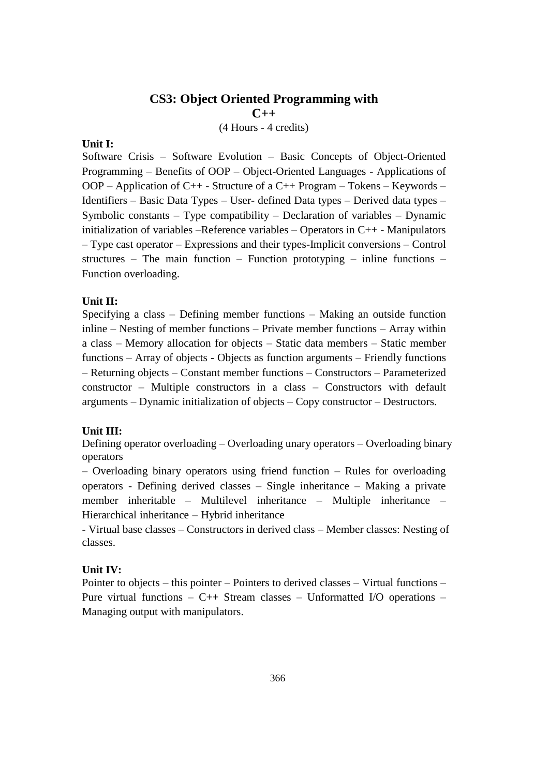# **CS3: Object Oriented Programming with C++** (4 Hours - 4 credits)

### **Unit I:**

Software Crisis – Software Evolution – Basic Concepts of Object-Oriented Programming – Benefits of OOP – Object-Oriented Languages - Applications of OOP – Application of C++ - Structure of a C++ Program – Tokens – Keywords – Identifiers – Basic Data Types – User- defined Data types – Derived data types – Symbolic constants – Type compatibility – Declaration of variables – Dynamic initialization of variables –Reference variables – Operators in C++ - Manipulators – Type cast operator – Expressions and their types-Implicit conversions – Control structures – The main function – Function prototyping – inline functions – Function overloading.

# **Unit II:**

Specifying a class – Defining member functions – Making an outside function inline – Nesting of member functions – Private member functions – Array within a class – Memory allocation for objects – Static data members – Static member functions – Array of objects - Objects as function arguments – Friendly functions – Returning objects – Constant member functions – Constructors – Parameterized constructor – Multiple constructors in a class – Constructors with default arguments – Dynamic initialization of objects – Copy constructor – Destructors.

### **Unit III:**

Defining operator overloading – Overloading unary operators – Overloading binary operators

– Overloading binary operators using friend function – Rules for overloading operators - Defining derived classes – Single inheritance – Making a private member inheritable – Multilevel inheritance – Multiple inheritance – Hierarchical inheritance – Hybrid inheritance

- Virtual base classes – Constructors in derived class – Member classes: Nesting of classes.

### **Unit IV:**

Pointer to objects – this pointer – Pointers to derived classes – Virtual functions – Pure virtual functions  $-$  C++ Stream classes  $-$  Unformatted I/O operations  $-$ Managing output with manipulators.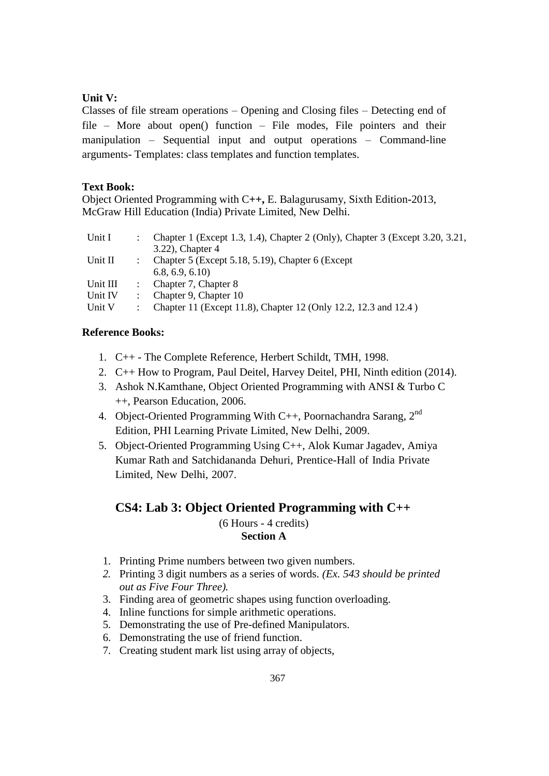# **Unit V:**

Classes of file stream operations – Opening and Closing files – Detecting end of file – More about open() function – File modes, File pointers and their manipulation – Sequential input and output operations – Command-line arguments- Templates: class templates and function templates.

# **Text Book:**

Object Oriented Programming with C**++,** E. Balagurusamy, Sixth Edition*-*2013, McGraw Hill Education (India) Private Limited, New Delhi.

| Unit I   | Chapter 1 (Except 1.3, 1.4), Chapter 2 (Only), Chapter 3 (Except 3.20, 3.21, |
|----------|------------------------------------------------------------------------------|
|          | $3.22$ ), Chapter 4                                                          |
| Unit II  | Chapter 5 (Except 5.18, 5.19), Chapter 6 (Except                             |
|          | 6.8, 6.9, 6.10                                                               |
| Unit III | Chapter 7, Chapter 8                                                         |
| Unit IV  | Chapter 9, Chapter 10                                                        |
| Unit V   | Chapter 11 (Except 11.8), Chapter 12 (Only 12.2, 12.3 and 12.4)              |

# **Reference Books:**

- 1. C++ The Complete Reference, Herbert Schildt, TMH, 1998.
- 2. C++ How to Program, Paul Deitel, Harvey Deitel, PHI, Ninth edition (2014).
- 3. Ashok N.Kamthane, Object Oriented Programming with ANSI & Turbo C ++, Pearson Education, 2006.
- 4. Object-Oriented Programming With C++, Poornachandra Sarang,  $2^{nd}$ Edition, PHI Learning Private Limited, New Delhi, 2009.
- 5. Object-Oriented Programming Using C++, Alok Kumar Jagadev, Amiya Kumar Rath and Satchidananda Dehuri, Prentice-Hall of India Private Limited, New Delhi, 2007.

# **CS4: Lab 3: Object Oriented Programming with C++**

(6 Hours - 4 credits) **Section A**

- 1. Printing Prime numbers between two given numbers.
- *2.* Printing 3 digit numbers as a series of words. *(Ex. 543 should be printed out as Five Four Three).*
- 3. Finding area of geometric shapes using function overloading.
- 4. Inline functions for simple arithmetic operations.
- 5. Demonstrating the use of Pre-defined Manipulators.
- 6. Demonstrating the use of friend function.
- 7. Creating student mark list using array of objects,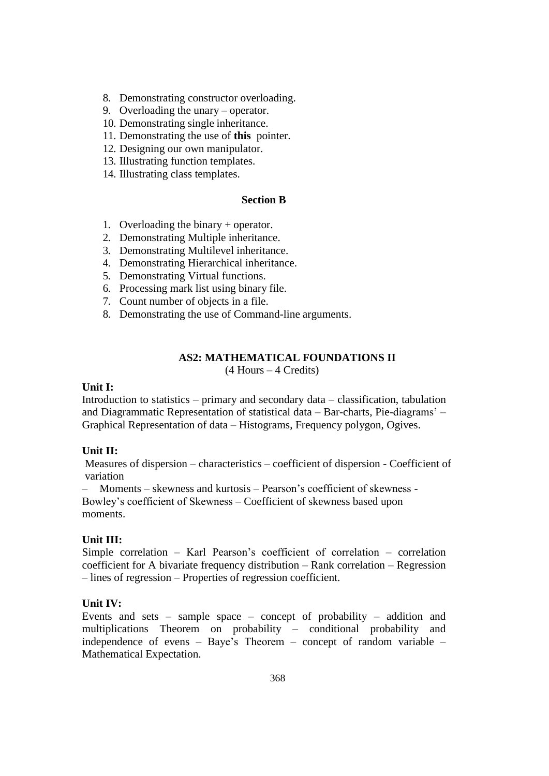8. Demonstrating constructor overloading.

9. Overloading the unary – operator.

- 10. Demonstrating single inheritance.
- 11. Demonstrating the use of **this** pointer.
- 12. Designing our own manipulator.
- 13. Illustrating function templates.
- 14. Illustrating class templates.

### **Section B**

- 1. Overloading the binary + operator.
- 2. Demonstrating Multiple inheritance.
- 3. Demonstrating Multilevel inheritance.
- 4. Demonstrating Hierarchical inheritance.
- 5. Demonstrating Virtual functions.
- 6. Processing mark list using binary file.
- 7. Count number of objects in a file.
- 8. Demonstrating the use of Command-line arguments.

# **AS2: MATHEMATICAL FOUNDATIONS II**

(4 Hours – 4 Credits)

#### **Unit I:**

Introduction to statistics – primary and secondary data – classification, tabulation and Diagrammatic Representation of statistical data – Bar-charts, Pie-diagrams' – Graphical Representation of data – Histograms, Frequency polygon, Ogives.

### **Unit II:**

Measures of dispersion – characteristics – coefficient of dispersion - Coefficient of variation

– Moments – skewness and kurtosis – Pearson's coefficient of skewness - Bowley's coefficient of Skewness – Coefficient of skewness based upon moments.

### **Unit III:**

Simple correlation – Karl Pearson's coefficient of correlation – correlation coefficient for A bivariate frequency distribution – Rank correlation – Regression – lines of regression – Properties of regression coefficient.

### **Unit IV:**

Events and sets – sample space – concept of probability – addition and multiplications Theorem on probability – conditional probability and independence of evens – Baye's Theorem – concept of random variable – Mathematical Expectation.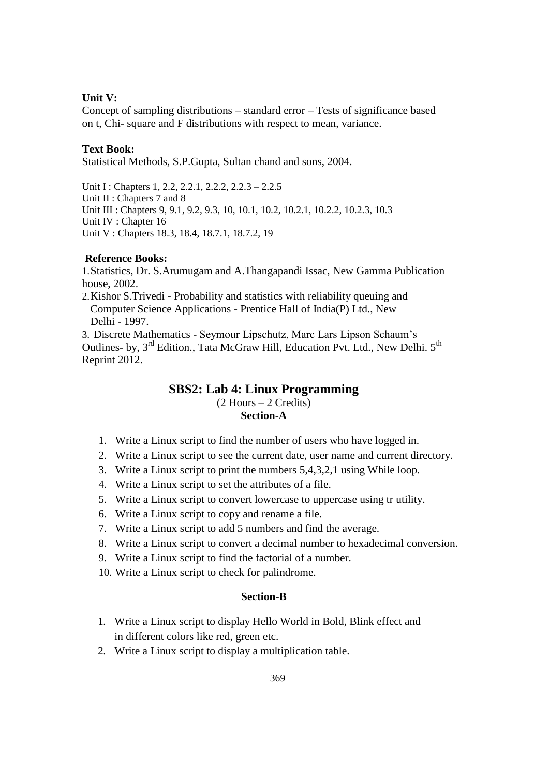### **Unit V:**

Concept of sampling distributions – standard error – Tests of significance based on t, Chi- square and F distributions with respect to mean, variance.

### **Text Book:**

Statistical Methods, S.P.Gupta, Sultan chand and sons, 2004.

Unit I : Chapters 1, 2.2, 2.2.1, 2.2.2, 2.2.3 – 2.2.5 Unit II : Chapters 7 and 8 Unit III : Chapters 9, 9.1, 9.2, 9.3, 10, 10.1, 10.2, 10.2.1, 10.2.2, 10.2.3, 10.3 Unit IV : Chapter 16 Unit V : Chapters 18.3, 18.4, 18.7.1, 18.7.2, 19

### **Reference Books:**

1.Statistics, Dr. S.Arumugam and A.Thangapandi Issac, New Gamma Publication house, 2002.

2.Kishor S.Trivedi - Probability and statistics with reliability queuing and Computer Science Applications - Prentice Hall of India(P) Ltd., New Delhi - 1997.

3. Discrete Mathematics - Seymour Lipschutz, Marc Lars Lipson Schaum's Outlines- by, 3<sup>rd</sup> Edition., Tata McGraw Hill, Education Pvt. Ltd., New Delhi. 5<sup>th</sup> Reprint 2012.

### **SBS2: Lab 4: Linux Programming** (2 Hours – 2 Credits)

### **Section-A**

- 1. Write a Linux script to find the number of users who have logged in.
- 2. Write a Linux script to see the current date, user name and current directory.
- 3. Write a Linux script to print the numbers 5,4,3,2,1 using While loop.
- 4. Write a Linux script to set the attributes of a file.
- 5. Write a Linux script to convert lowercase to uppercase using tr utility.
- 6. Write a Linux script to copy and rename a file.
- 7. Write a Linux script to add 5 numbers and find the average.
- 8. Write a Linux script to convert a decimal number to hexadecimal conversion.
- 9. Write a Linux script to find the factorial of a number.
- 10. Write a Linux script to check for palindrome.

### **Section-B**

- 1. Write a Linux script to display Hello World in Bold, Blink effect and in different colors like red, green etc.
- 2. Write a Linux script to display a multiplication table.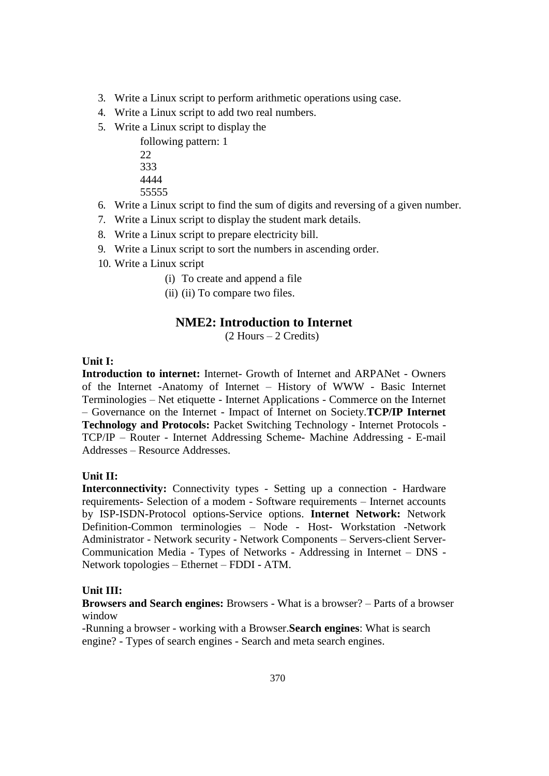- 3. Write a Linux script to perform arithmetic operations using case.
- 4. Write a Linux script to add two real numbers.
- 5. Write a Linux script to display the
	- following pattern: 1 22 333 4444
	-
	- 55555
- 6. Write a Linux script to find the sum of digits and reversing of a given number.
- 7. Write a Linux script to display the student mark details.
- 8. Write a Linux script to prepare electricity bill.
- 9. Write a Linux script to sort the numbers in ascending order.
- 10. Write a Linux script
	- (i) To create and append a file
	- (ii) (ii) To compare two files.

# **NME2: Introduction to Internet**

(2 Hours – 2 Credits)

# **Unit I:**

**Introduction to internet:** Internet- Growth of Internet and ARPANet - Owners of the Internet -Anatomy of Internet – History of WWW - Basic Internet Terminologies – Net etiquette - Internet Applications - Commerce on the Internet – Governance on the Internet - Impact of Internet on Society.**TCP/IP Internet Technology and Protocols:** Packet Switching Technology - Internet Protocols - TCP/IP – Router - Internet Addressing Scheme- Machine Addressing - E-mail Addresses – Resource Addresses.

# **Unit II:**

**Interconnectivity:** Connectivity types - Setting up a connection - Hardware requirements- Selection of a modem - Software requirements – Internet accounts by ISP-ISDN-Protocol options-Service options. **Internet Network:** Network Definition-Common terminologies – Node - Host- Workstation -Network Administrator - Network security - Network Components – Servers-client Server-Communication Media - Types of Networks - Addressing in Internet – DNS - Network topologies – Ethernet – FDDI - ATM.

# **Unit III:**

**Browsers and Search engines:** Browsers - What is a browser? – Parts of a browser window

-Running a browser - working with a Browser.**Search engines**: What is search engine? - Types of search engines - Search and meta search engines.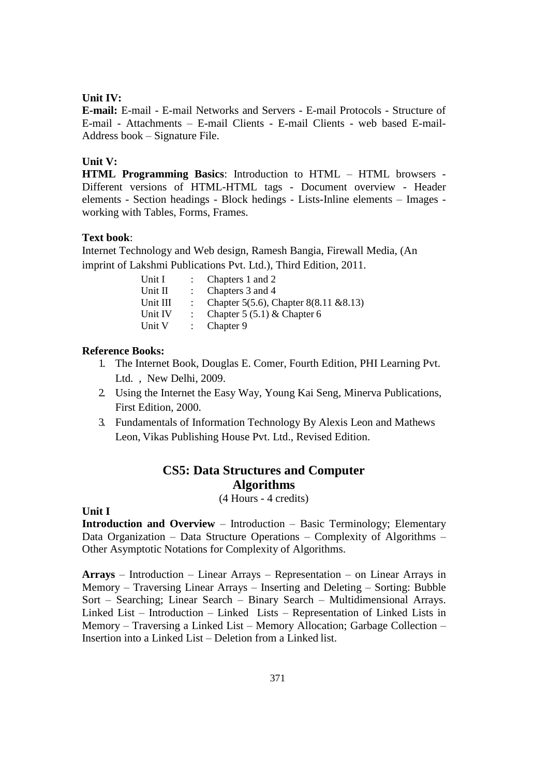### **Unit IV:**

**E-mail:** E-mail - E-mail Networks and Servers - E-mail Protocols - Structure of E-mail - Attachments – E-mail Clients - E-mail Clients - web based E-mail-Address book – Signature File.

### **Unit V:**

**HTML Programming Basics**: Introduction to HTML – HTML browsers - Different versions of HTML-HTML tags - Document overview - Header elements - Section headings - Block hedings - Lists-Inline elements – Images working with Tables, Forms, Frames.

# **Text book**:

Internet Technology and Web design, Ramesh Bangia, Firewall Media, (An imprint of Lakshmi Publications Pvt. Ltd.), Third Edition, 2011.

| : Chapters 1 and 2                       |
|------------------------------------------|
| : Chapters $3$ and $4$                   |
| : Chapter 5(5.6), Chapter 8(8.11 & 8.13) |
| : Chapter $5(5.1)$ & Chapter 6           |
| : Chapter $9$                            |
|                                          |

## **Reference Books:**

- 1. The Internet Book, Douglas E. Comer, Fourth Edition, PHI Learning Pvt. Ltd. , New Delhi, 2009.
- 2. Using the Internet the Easy Way, Young Kai Seng, Minerva Publications, First Edition, 2000.
- 3. Fundamentals of Information Technology By Alexis Leon and Mathews Leon, Vikas Publishing House Pvt. Ltd., Revised Edition.

# **CS5: Data Structures and Computer Algorithms**

(4 Hours - 4 credits)

### **Unit I**

**Introduction and Overview** – Introduction – Basic Terminology; Elementary Data Organization – Data Structure Operations – Complexity of Algorithms – Other Asymptotic Notations for Complexity of Algorithms.

**Arrays** – Introduction – Linear Arrays – Representation – on Linear Arrays in Memory – Traversing Linear Arrays – Inserting and Deleting – Sorting: Bubble Sort – Searching; Linear Search – Binary Search – Multidimensional Arrays. Linked List – Introduction – Linked Lists – Representation of Linked Lists in Memory – Traversing a Linked List – Memory Allocation; Garbage Collection – Insertion into a Linked List – Deletion from a Linked list.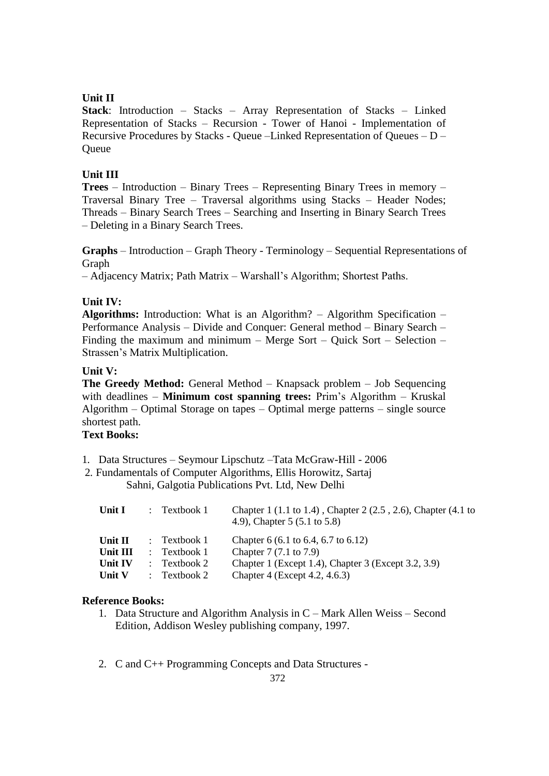# **Unit II**

**Stack**: Introduction – Stacks – Array Representation of Stacks – Linked Representation of Stacks – Recursion - Tower of Hanoi - Implementation of Recursive Procedures by Stacks - Queue –Linked Representation of Queues – D – **Oueue** 

# **Unit III**

**Trees** – Introduction – Binary Trees – Representing Binary Trees in memory – Traversal Binary Tree – Traversal algorithms using Stacks – Header Nodes; Threads – Binary Search Trees – Searching and Inserting in Binary Search Trees – Deleting in a Binary Search Trees.

**Graphs** – Introduction – Graph Theory - Terminology – Sequential Representations of Graph

– Adjacency Matrix; Path Matrix – Warshall's Algorithm; Shortest Paths.

# **Unit IV:**

**Algorithms:** Introduction: What is an Algorithm? – Algorithm Specification – Performance Analysis – Divide and Conquer: General method – Binary Search – Finding the maximum and minimum – Merge Sort – Quick Sort – Selection – Strassen's Matrix Multiplication.

# **Unit V:**

**The Greedy Method:** General Method – Knapsack problem – Job Sequencing with deadlines – **Minimum cost spanning trees:** Prim's Algorithm – Kruskal Algorithm – Optimal Storage on tapes – Optimal merge patterns – single source shortest path.

# **Text Books:**

- 1. Data Structures Seymour Lipschutz –Tata McGraw-Hill 2006
- 2. Fundamentals of Computer Algorithms, Ellis Horowitz, Sartaj Sahni, Galgotia Publications Pvt. Ltd, New Delhi

| Unit I           | $\therefore$ Textbook 1 | Chapter 1 (1.1 to 1.4), Chapter 2 (2.5, 2.6), Chapter (4.1 to<br>4.9), Chapter 5 $(5.1 \text{ to } 5.8)$ |
|------------------|-------------------------|----------------------------------------------------------------------------------------------------------|
| Unit $\mathbf H$ | $\therefore$ Textbook 1 | Chapter 6 (6.1 to 6.4, 6.7 to 6.12)                                                                      |
| Unit III         | $\therefore$ Textbook 1 | Chapter 7 (7.1 to 7.9)                                                                                   |
| Unit IV          | $\therefore$ Textbook 2 | Chapter 1 (Except 1.4), Chapter 3 (Except 3.2, 3.9)                                                      |
| Unit V           | $\therefore$ Textbook 2 | Chapter 4 (Except 4.2, 4.6.3)                                                                            |

# **Reference Books:**

- 1. Data Structure and Algorithm Analysis in C Mark Allen Weiss Second Edition, Addison Wesley publishing company, 1997.
- 2. C and C++ Programming Concepts and Data Structures -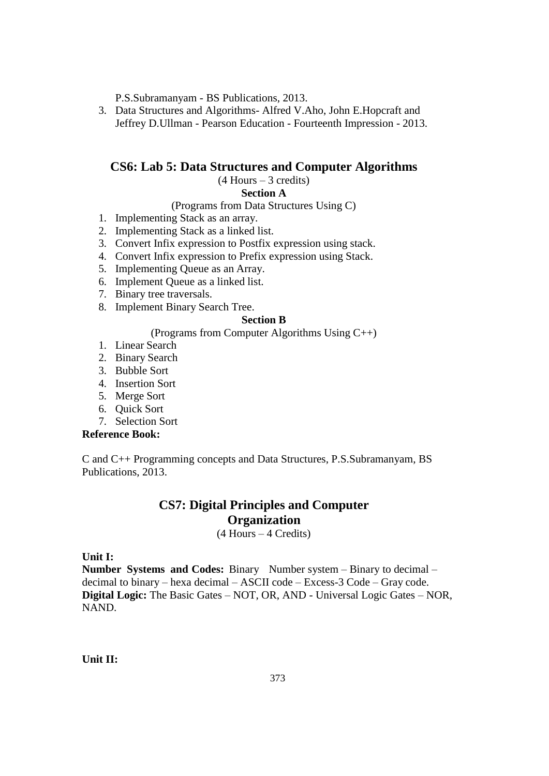P.S.Subramanyam - BS Publications, 2013.

3. Data Structures and Algorithms- Alfred V.Aho, John E.Hopcraft and Jeffrey D.Ullman - Pearson Education - Fourteenth Impression - 2013.

# **CS6: Lab 5: Data Structures and Computer Algorithms**

(4 Hours – 3 credits)

# **Section A**

(Programs from Data Structures Using C)

- 1. Implementing Stack as an array.
- 2. Implementing Stack as a linked list.
- 3. Convert Infix expression to Postfix expression using stack.
- 4. Convert Infix expression to Prefix expression using Stack.
- 5. Implementing Queue as an Array.
- 6. Implement Queue as a linked list.
- 7. Binary tree traversals.
- 8. Implement Binary Search Tree.

# **Section B**

# (Programs from Computer Algorithms Using C++)

- 1. Linear Search
- 2. Binary Search
- 3. Bubble Sort
- 4. Insertion Sort
- 5. Merge Sort
- 6. Quick Sort
- 7. Selection Sort

#### **Reference Book:**

C and C++ Programming concepts and Data Structures, P.S.Subramanyam, BS Publications, 2013.

# **CS7: Digital Principles and Computer Organization**

(4 Hours – 4 Credits)

**Unit I:**

**Number Systems and Codes:** Binary Number system – Binary to decimal – decimal to binary – hexa decimal – ASCII code – Excess-3 Code – Gray code. **Digital Logic:** The Basic Gates – NOT, OR, AND - Universal Logic Gates – NOR, NAND.

**Unit II:**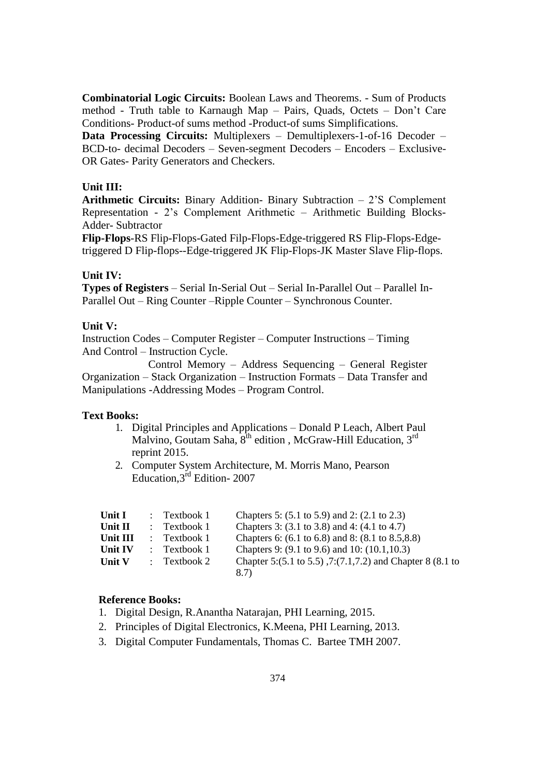**Combinatorial Logic Circuits:** Boolean Laws and Theorems. - Sum of Products method - Truth table to Karnaugh Map – Pairs, Quads, Octets – Don't Care Conditions- Product-of sums method -Product-of sums Simplifications.

**Data Processing Circuits:** Multiplexers – Demultiplexers-1-of-16 Decoder – BCD-to- decimal Decoders – Seven-segment Decoders – Encoders – Exclusive-OR Gates- Parity Generators and Checkers.

### **Unit III:**

**Arithmetic Circuits:** Binary Addition- Binary Subtraction – 2'S Complement Representation - 2's Complement Arithmetic – Arithmetic Building Blocks-Adder- Subtractor

**Flip-Flops**-RS Flip-Flops-Gated Filp-Flops-Edge-triggered RS Flip-Flops-Edgetriggered D Flip-flops--Edge-triggered JK Flip-Flops-JK Master Slave Flip-flops.

### **Unit IV:**

**Types of Registers** – Serial In-Serial Out – Serial In-Parallel Out – Parallel In-Parallel Out – Ring Counter –Ripple Counter – Synchronous Counter.

### **Unit V:**

Instruction Codes – Computer Register – Computer Instructions – Timing And Control – Instruction Cycle.

Control Memory – Address Sequencing – General Register Organization – Stack Organization – Instruction Formats – Data Transfer and Manipulations -Addressing Modes – Program Control.

#### **Text Books:**

- 1. Digital Principles and Applications Donald P Leach, Albert Paul Malvino, Goutam Saha, 8<sup>th</sup> edition, McGraw-Hill Education, 3<sup>rd</sup> reprint 2015.
- 2. Computer System Architecture, M. Morris Mano, Pearson Education,3rd Edition- 2007

| Unit I             | $:$ Textbook 1          | Chapters 5: (5.1 to 5.9) and 2: (2.1 to 2.3)                       |
|--------------------|-------------------------|--------------------------------------------------------------------|
| Unit $\mathbf{II}$ | $\therefore$ Textbook 1 | Chapters 3: (3.1 to 3.8) and 4: (4.1 to 4.7)                       |
| Unit III           | $\therefore$ Textbook 1 | Chapters 6: (6.1 to 6.8) and 8: (8.1 to 8.5,8.8)                   |
| Unit IV            | $:$ Textbook 1          | Chapters 9: $(9.1 \text{ to } 9.6)$ and 10: $(10.1, 10.3)$         |
| <b>Unit V</b>      | $\therefore$ Textbook 2 | Chapter 5:(5.1 to 5.5), 7:(7.1, 7.2) and Chapter 8 (8.1 to<br>8.7) |

### **Reference Books:**

- 1. Digital Design, R.Anantha Natarajan, PHI Learning, 2015.
- 2. Principles of Digital Electronics, K.Meena, PHI Learning, 2013.
- 3. Digital Computer Fundamentals, Thomas C. Bartee TMH 2007.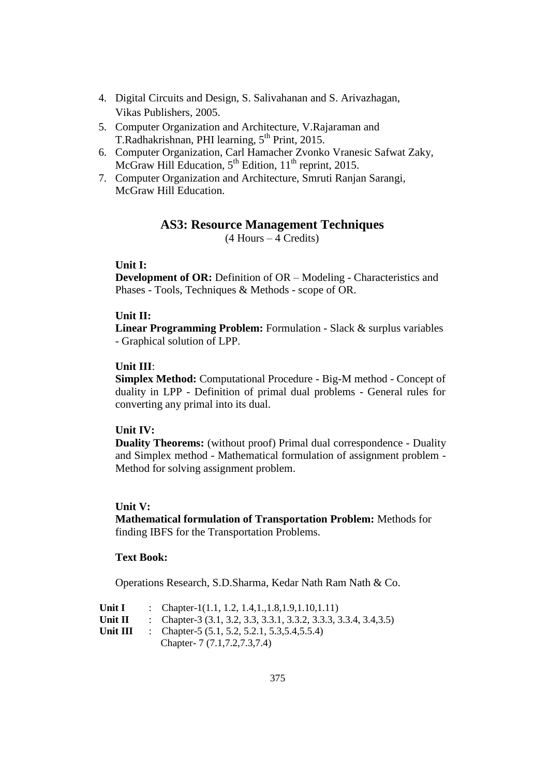- 4. Digital Circuits and Design, S. Salivahanan and S. Arivazhagan, Vikas Publishers, 2005.
- 5. Computer Organization and Architecture, V.Rajaraman and T.Radhakrishnan, PHI learning, 5<sup>th</sup> Print, 2015.
- 6. Computer Organization, Carl Hamacher Zvonko Vranesic Safwat Zaky, McGraw Hill Education,  $5^{th}$  Edition,  $11^{th}$  reprint, 2015.
- 7. Computer Organization and Architecture, Smruti Ranjan Sarangi, McGraw Hill Education.

### **AS3: Resource Management Techniques**

 $(4$  Hours  $-4$  Credits)

### **Unit I:**

**Development of OR:** Definition of OR – Modeling - Characteristics and Phases - Tools, Techniques & Methods - scope of OR.

### **Unit II:**

**Linear Programming Problem:** Formulation - Slack & surplus variables - Graphical solution of LPP.

### **Unit III**:

**Simplex Method:** Computational Procedure - Big-M method - Concept of duality in LPP - Definition of primal dual problems - General rules for converting any primal into its dual.

### **Unit IV:**

**Duality Theorems:** (without proof) Primal dual correspondence - Duality and Simplex method - Mathematical formulation of assignment problem - Method for solving assignment problem.

### **Unit V:**

**Mathematical formulation of Transportation Problem:** Methods for finding IBFS for the Transportation Problems.

### **Text Book:**

Operations Research, S.D.Sharma, Kedar Nath Ram Nath & Co.

| Unit I   | : Chapter-1(1.1, 1.2, 1.4, 1., 1.8, 1.9, 1.10, 1.11)                |
|----------|---------------------------------------------------------------------|
| Unit II  | : Chapter-3 $(3.1, 3.2, 3.3, 3.3.1, 3.3.2, 3.3.3, 3.3.4, 3.4, 3.5)$ |
| Unit III | : Chapter-5 $(5.1, 5.2, 5.2.1, 5.3, 5.4, 5.5.4)$                    |
|          | Chapter- 7 (7.1, 7.2, 7.3, 7.4)                                     |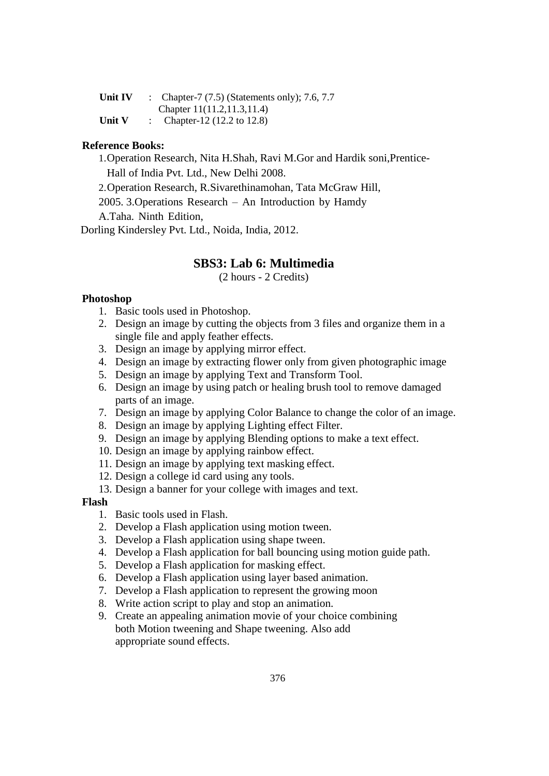| Unit IV       | : Chapter-7 $(7.5)$ (Statements only); 7.6, 7.7 |
|---------------|-------------------------------------------------|
|               | Chapter 11(11.2,11.3,11.4)                      |
| <b>Unit V</b> | Chapter-12 (12.2 to 12.8)                       |

### **Reference Books:**

1.Operation Research, Nita H.Shah, Ravi M.Gor and Hardik soni,Prentice-

Hall of India Pvt. Ltd., New Delhi 2008.

2.Operation Research, R.Sivarethinamohan, Tata McGraw Hill,

2005. 3.Operations Research – An Introduction by Hamdy

A.Taha. Ninth Edition,

Dorling Kindersley Pvt. Ltd., Noida, India, 2012.

# **SBS3: Lab 6: Multimedia**

(2 hours - 2 Credits)

# **Photoshop**

- 1. Basic tools used in Photoshop.
- 2. Design an image by cutting the objects from 3 files and organize them in a single file and apply feather effects.
- 3. Design an image by applying mirror effect.
- 4. Design an image by extracting flower only from given photographic image
- 5. Design an image by applying Text and Transform Tool.
- 6. Design an image by using patch or healing brush tool to remove damaged parts of an image.
- 7. Design an image by applying Color Balance to change the color of an image.
- 8. Design an image by applying Lighting effect Filter.
- 9. Design an image by applying Blending options to make a text effect.
- 10. Design an image by applying rainbow effect.
- 11. Design an image by applying text masking effect.
- 12. Design a college id card using any tools.
- 13. Design a banner for your college with images and text.

### **Flash**

- 1. Basic tools used in Flash.
- 2. Develop a Flash application using motion tween.
- 3. Develop a Flash application using shape tween.
- 4. Develop a Flash application for ball bouncing using motion guide path.
- 5. Develop a Flash application for masking effect.
- 6. Develop a Flash application using layer based animation.
- 7. Develop a Flash application to represent the growing moon
- 8. Write action script to play and stop an animation.
- 9. Create an appealing animation movie of your choice combining both Motion tweening and Shape tweening. Also add appropriate sound effects.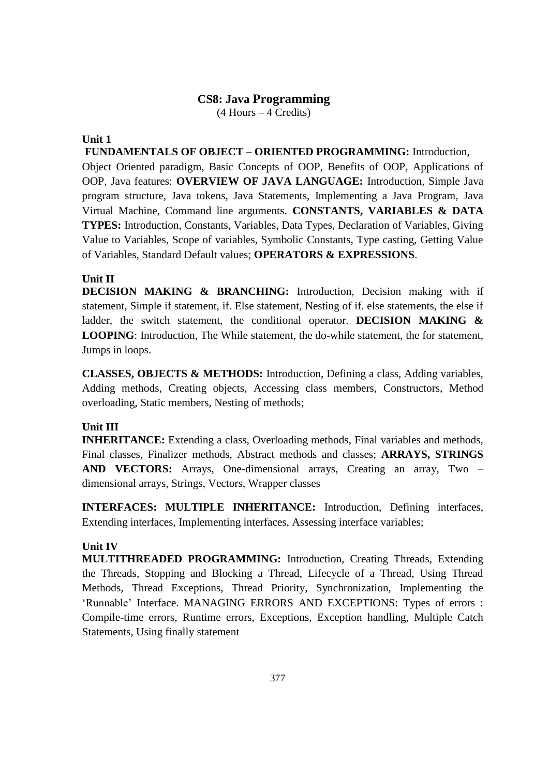# **CS8: Java Programming**

(4 Hours – 4 Credits)

# **Unit 1**

**FUNDAMENTALS OF OBJECT – ORIENTED PROGRAMMING:** Introduction,

Object Oriented paradigm, Basic Concepts of OOP, Benefits of OOP, Applications of OOP, Java features: **OVERVIEW OF JAVA LANGUAGE:** Introduction, Simple Java program structure, Java tokens, Java Statements, Implementing a Java Program, Java Virtual Machine, Command line arguments. **CONSTANTS, VARIABLES & DATA TYPES:** Introduction, Constants, Variables, Data Types, Declaration of Variables, Giving Value to Variables, Scope of variables, Symbolic Constants, Type casting, Getting Value of Variables, Standard Default values; **OPERATORS & EXPRESSIONS**.

# **Unit II**

**DECISION MAKING & BRANCHING:** Introduction, Decision making with if statement, Simple if statement, if. Else statement, Nesting of if. else statements, the else if ladder, the switch statement, the conditional operator. **DECISION MAKING & LOOPING**: Introduction, The While statement, the do-while statement, the for statement, Jumps in loops.

**CLASSES, OBJECTS & METHODS:** Introduction, Defining a class, Adding variables, Adding methods, Creating objects, Accessing class members, Constructors, Method overloading, Static members, Nesting of methods;

# **Unit III**

**INHERITANCE:** Extending a class, Overloading methods, Final variables and methods, Final classes, Finalizer methods, Abstract methods and classes; **ARRAYS, STRINGS AND VECTORS:** Arrays, One-dimensional arrays, Creating an array, Two – dimensional arrays, Strings, Vectors, Wrapper classes

**INTERFACES: MULTIPLE INHERITANCE:** Introduction, Defining interfaces, Extending interfaces, Implementing interfaces, Assessing interface variables;

# **Unit IV**

**MULTITHREADED PROGRAMMING:** Introduction, Creating Threads, Extending the Threads, Stopping and Blocking a Thread, Lifecycle of a Thread, Using Thread Methods, Thread Exceptions, Thread Priority, Synchronization, Implementing the 'Runnable' Interface. MANAGING ERRORS AND EXCEPTIONS: Types of errors : Compile-time errors, Runtime errors, Exceptions, Exception handling, Multiple Catch Statements, Using finally statement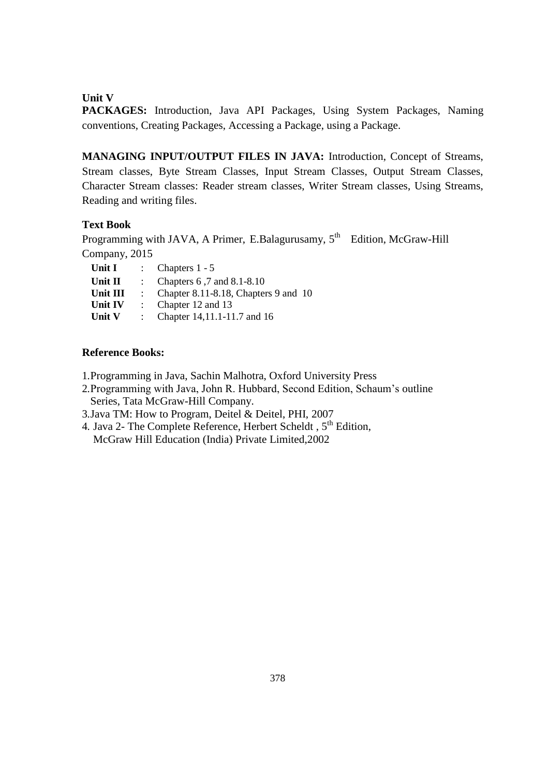# **Unit V**

**PACKAGES:** Introduction, Java API Packages, Using System Packages, Naming conventions, Creating Packages, Accessing a Package, using a Package.

**MANAGING INPUT/OUTPUT FILES IN JAVA:** Introduction, Concept of Streams, Stream classes, Byte Stream Classes, Input Stream Classes, Output Stream Classes, Character Stream classes: Reader stream classes, Writer Stream classes, Using Streams, Reading and writing files.

# **Text Book**

Programming with JAVA, A Primer, E.Balagurusamy, 5<sup>th</sup> Edition, McGraw-Hill Company, 2015

| Unit I    | : Chapters $1 - 5$                   |  |
|-----------|--------------------------------------|--|
| Unit $II$ | Chapters 6,7 and 8.1-8.10            |  |
| Unit III  | Chapter 8.11-8.18, Chapters 9 and 10 |  |
| Unit IV   | Chapter 12 and 13                    |  |
| Unit V    | Chapter 14, 11.1-11.7 and 16         |  |

# **Reference Books:**

1.Programming in Java, Sachin Malhotra, Oxford University Press

- 2.Programming with Java, John R. Hubbard, Second Edition, Schaum's outline Series, Tata McGraw-Hill Company.
- 3.Java TM: How to Program, Deitel & Deitel, PHI, 2007
- 4. Java 2- The Complete Reference, Herbert Scheldt,  $5<sup>th</sup>$  Edition, McGraw Hill Education (India) Private Limited,2002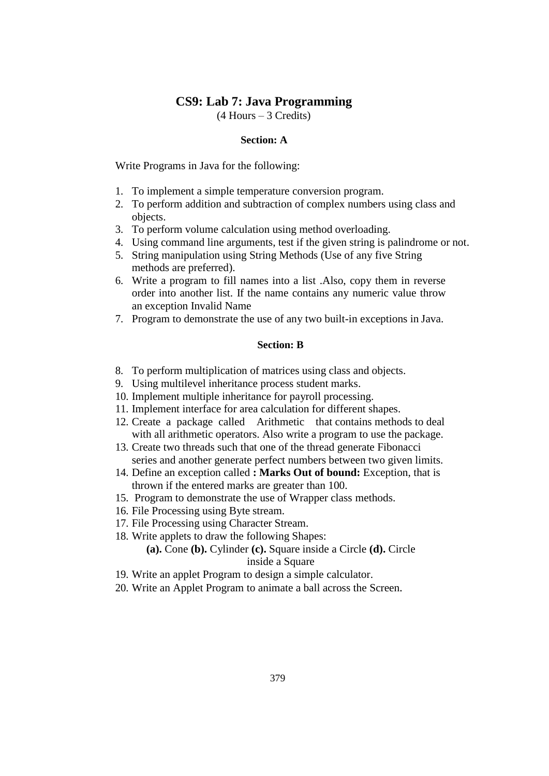# **CS9: Lab 7: Java Programming**

(4 Hours – 3 Credits)

### **Section: A**

Write Programs in Java for the following:

- 1. To implement a simple temperature conversion program.
- 2. To perform addition and subtraction of complex numbers using class and objects.
- 3. To perform volume calculation using method overloading.
- 4. Using command line arguments, test if the given string is palindrome or not.
- 5. String manipulation using String Methods (Use of any five String methods are preferred).
- 6. Write a program to fill names into a list .Also, copy them in reverse order into another list. If the name contains any numeric value throw an exception Invalid Name
- 7. Program to demonstrate the use of any two built-in exceptions in Java.

### **Section: B**

- 8. To perform multiplication of matrices using class and objects.
- 9. Using multilevel inheritance process student marks.
- 10. Implement multiple inheritance for payroll processing.
- 11. Implement interface for area calculation for different shapes.
- 12. Create a package called Arithmetic that contains methods to deal with all arithmetic operators. Also write a program to use the package.
- 13. Create two threads such that one of the thread generate Fibonacci series and another generate perfect numbers between two given limits.
- 14. Define an exception called **: Marks Out of bound:** Exception, that is thrown if the entered marks are greater than 100.
- 15. Program to demonstrate the use of Wrapper class methods.
- 16. File Processing using Byte stream.
- 17. File Processing using Character Stream.
- 18. Write applets to draw the following Shapes:

# **(a).** Cone **(b).** Cylinder **(c).** Square inside a Circle **(d).** Circle inside a Square

- 19. Write an applet Program to design a simple calculator.
- 20. Write an Applet Program to animate a ball across the Screen.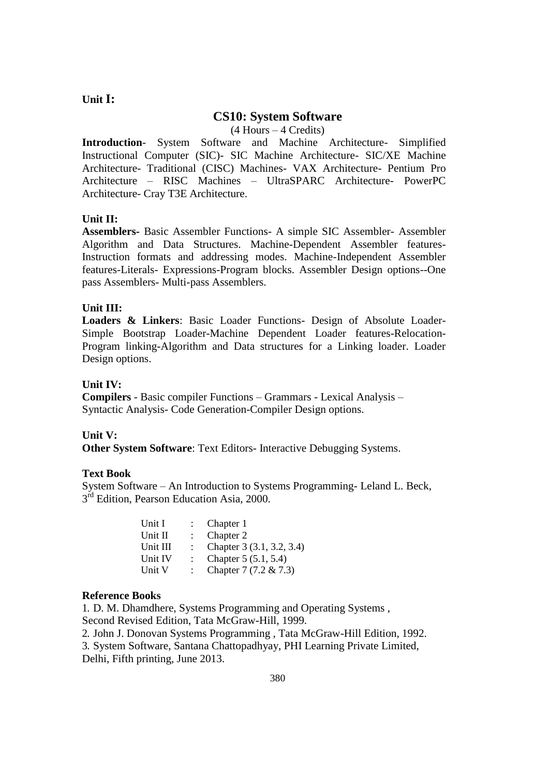# **Unit I:**

# **CS10: System Software**

(4 Hours – 4 Credits)

**Introduction**- System Software and Machine Architecture- Simplified Instructional Computer (SIC)- SIC Machine Architecture- SIC/XE Machine Architecture- Traditional (CISC) Machines- VAX Architecture- Pentium Pro Architecture – RISC Machines – UltraSPARC Architecture- PowerPC Architecture- Cray T3E Architecture.

# **Unit II:**

**Assemblers-** Basic Assembler Functions- A simple SIC Assembler- Assembler Algorithm and Data Structures. Machine-Dependent Assembler features-Instruction formats and addressing modes. Machine-Independent Assembler features-Literals- Expressions-Program blocks. Assembler Design options--One pass Assemblers- Multi-pass Assemblers.

### **Unit III:**

**Loaders & Linkers**: Basic Loader Functions- Design of Absolute Loader-Simple Bootstrap Loader-Machine Dependent Loader features-Relocation-Program linking-Algorithm and Data structures for a Linking loader. Loader Design options.

### **Unit IV:**

**Compilers** - Basic compiler Functions – Grammars - Lexical Analysis – Syntactic Analysis- Code Generation-Compiler Design options.

#### **Unit V:**

**Other System Software**: Text Editors- Interactive Debugging Systems.

### **Text Book**

System Software – An Introduction to Systems Programming- Leland L. Beck, 3<sup>rd</sup> Edition, Pearson Education Asia, 2000.

| Unit I   |                           | Chapter 1                 |
|----------|---------------------------|---------------------------|
| Unit II  | $\mathbb{R}^{\mathbb{Z}}$ | Chapter 2                 |
| Unit III | $\mathbb{R}^{\mathbb{Z}}$ | Chapter 3 (3.1, 3.2, 3.4) |
| Unit IV  |                           | Chapter 5 (5.1, 5.4)      |
| Unit V   |                           | Chapter 7 (7.2 & 7.3)     |

### **Reference Books**

1. D. M. Dhamdhere, Systems Programming and Operating Systems , Second Revised Edition, Tata McGraw-Hill, 1999.

2. John J. Donovan Systems Programming , Tata McGraw-Hill Edition, 1992. 3. System Software, Santana Chattopadhyay, PHI Learning Private Limited, Delhi, Fifth printing, June 2013.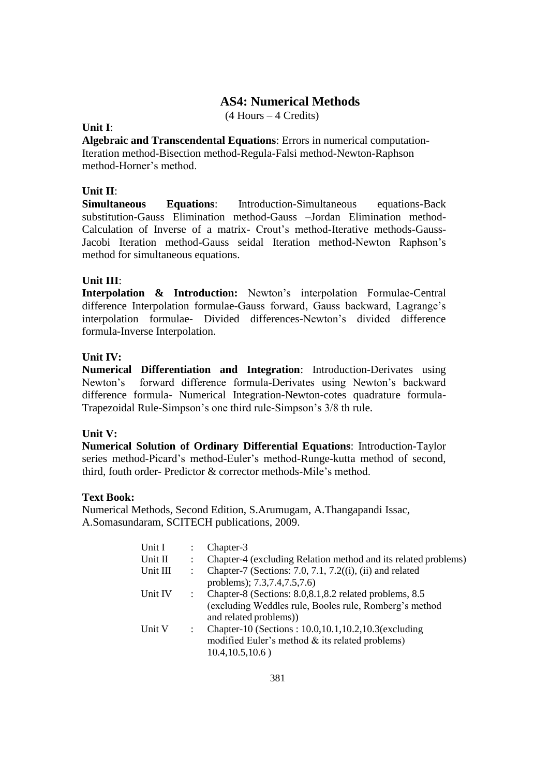# **AS4: Numerical Methods**

(4 Hours – 4 Credits)

# **Unit I**:

**Algebraic and Transcendental Equations**: Errors in numerical computation-Iteration method-Bisection method-Regula-Falsi method-Newton-Raphson method-Horner's method.

# **Unit II**:

**Simultaneous Equations**: Introduction-Simultaneous equations-Back substitution-Gauss Elimination method-Gauss –Jordan Elimination method-Calculation of Inverse of a matrix- Crout's method-Iterative methods-Gauss-Jacobi Iteration method-Gauss seidal Iteration method-Newton Raphson's method for simultaneous equations.

# **Unit III**:

**Interpolation & Introduction:** Newton's interpolation Formulae-Central difference Interpolation formulae-Gauss forward, Gauss backward, Lagrange's interpolation formulae- Divided differences-Newton's divided difference formula-Inverse Interpolation.

# **Unit IV:**

**Numerical Differentiation and Integration**: Introduction-Derivates using Newton's forward difference formula-Derivates using Newton's backward difference formula- Numerical Integration-Newton-cotes quadrature formula-Trapezoidal Rule-Simpson's one third rule-Simpson's 3/8 th rule.

# **Unit V:**

**Numerical Solution of Ordinary Differential Equations**: Introduction-Taylor series method-Picard's method-Euler's method-Runge-kutta method of second, third, fouth order- Predictor & corrector methods-Mile's method.

# **Text Book:**

Numerical Methods, Second Edition, S.Arumugam, A.Thangapandi Issac, A.Somasundaram, SCITECH publications, 2009.

| Unit I   |                | Chapter-3                                                      |
|----------|----------------|----------------------------------------------------------------|
| Unit II  |                | Chapter-4 (excluding Relation method and its related problems) |
| Unit III |                | Chapter-7 (Sections: 7.0, 7.1, 7.2((i), (ii) and related       |
|          |                | problems); 7.3,7.4,7.5,7.6)                                    |
| Unit IV  |                | Chapter-8 (Sections: 8.0, 8.1, 8.2 related problems, 8.5       |
|          |                | (excluding Weddles rule, Booles rule, Romberg's method         |
|          |                | and related problems))                                         |
| Unit V   | $\ddot{\cdot}$ | Chapter-10 (Sections: 10.0,10.1,10.2,10.3(excluding            |
|          |                | modified Euler's method $&$ its related problems)              |
|          |                | $10.4, 10.5, 10.6$ )                                           |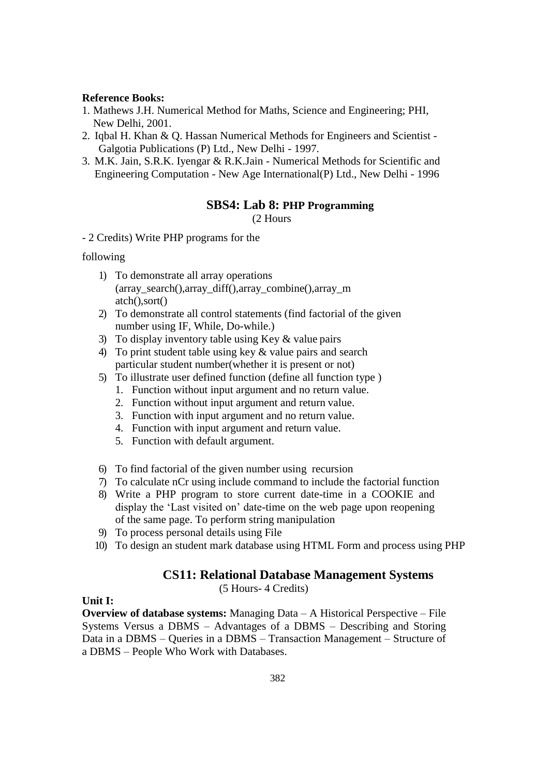### **Reference Books:**

- 1. Mathews J.H. Numerical Method for Maths, Science and Engineering; PHI, New Delhi, 2001.
- 2. Iqbal H. Khan & Q. Hassan Numerical Methods for Engineers and Scientist Galgotia Publications (P) Ltd., New Delhi - 1997.
- 3. M.K. Jain, S.R.K. Iyengar & R.K.Jain Numerical Methods for Scientific and Engineering Computation - New Age International(P) Ltd., New Delhi - 1996

### **SBS4: Lab 8: PHP Programming**

(2 Hours

- 2 Credits) Write PHP programs for the

# following

- 1) To demonstrate all array operations (array\_search(),array\_diff(),array\_combine(),array\_m atch(),sort()
- 2) To demonstrate all control statements (find factorial of the given number using IF, While, Do-while.)
- 3) To display inventory table using Key & value pairs
- 4) To print student table using key & value pairs and search particular student number(whether it is present or not)
- 5) To illustrate user defined function (define all function type )
	- 1. Function without input argument and no return value.
	- 2. Function without input argument and return value.
	- 3. Function with input argument and no return value.
	- 4. Function with input argument and return value.
	- 5. Function with default argument.
- 6) To find factorial of the given number using recursion
- 7) To calculate nCr using include command to include the factorial function
- 8) Write a PHP program to store current date-time in a COOKIE and display the 'Last visited on' date-time on the web page upon reopening of the same page. To perform string manipulation
- 9) To process personal details using File
- 10) To design an student mark database using HTML Form and process using PHP

# **CS11: Relational Database Management Systems**

(5 Hours- 4 Credits)

# **Unit I:**

**Overview of database systems:** Managing Data – A Historical Perspective – File Systems Versus a DBMS – Advantages of a DBMS – Describing and Storing Data in a DBMS – Queries in a DBMS – Transaction Management – Structure of a DBMS – People Who Work with Databases.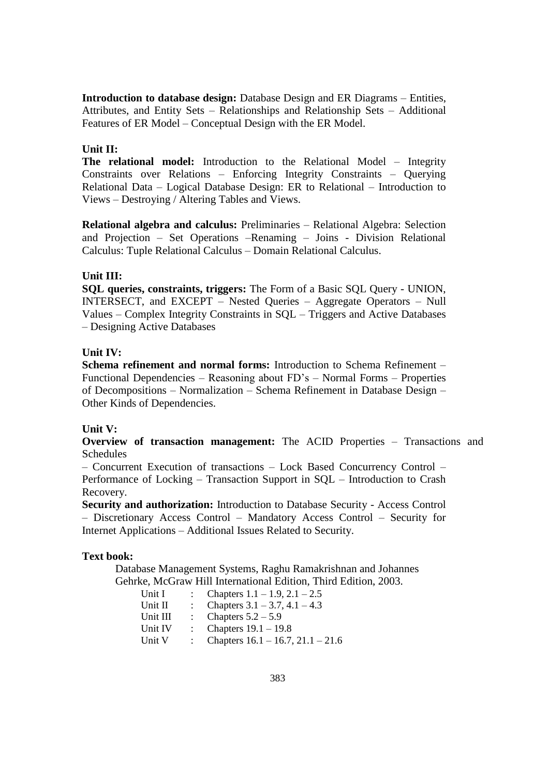**Introduction to database design:** Database Design and ER Diagrams – Entities, Attributes, and Entity Sets – Relationships and Relationship Sets – Additional Features of ER Model – Conceptual Design with the ER Model.

### **Unit II:**

**The relational model:** Introduction to the Relational Model – Integrity Constraints over Relations – Enforcing Integrity Constraints – Querying Relational Data – Logical Database Design: ER to Relational – Introduction to Views – Destroying / Altering Tables and Views.

**Relational algebra and calculus:** Preliminaries – Relational Algebra: Selection and Projection – Set Operations –Renaming – Joins - Division Relational Calculus: Tuple Relational Calculus – Domain Relational Calculus.

### **Unit III:**

**SQL queries, constraints, triggers:** The Form of a Basic SQL Query - UNION, INTERSECT, and EXCEPT – Nested Queries – Aggregate Operators – Null Values – Complex Integrity Constraints in SQL – Triggers and Active Databases – Designing Active Databases

### **Unit IV:**

**Schema refinement and normal forms:** Introduction to Schema Refinement – Functional Dependencies – Reasoning about FD's – Normal Forms – Properties of Decompositions – Normalization – Schema Refinement in Database Design – Other Kinds of Dependencies.

#### **Unit V:**

**Overview of transaction management:** The ACID Properties – Transactions and Schedules

– Concurrent Execution of transactions – Lock Based Concurrency Control – Performance of Locking – Transaction Support in SQL – Introduction to Crash Recovery.

**Security and authorization:** Introduction to Database Security - Access Control – Discretionary Access Control – Mandatory Access Control – Security for Internet Applications – Additional Issues Related to Security.

#### **Text book:**

Database Management Systems, Raghu Ramakrishnan and Johannes Gehrke, McGraw Hill International Edition, Third Edition, 2003.

| Unit I   | Chapters $1.1 - 1.9$ , $2.1 - 2.5$     |
|----------|----------------------------------------|
| Unit II  | Chapters $3.1 - 3.7$ , $4.1 - 4.3$     |
| Unit III | Chapters $5.2 - 5.9$                   |
| Unit IV  | Chapters $19.1 - 19.8$                 |
| Unit V   | Chapters $16.1 - 16.7$ , $21.1 - 21.6$ |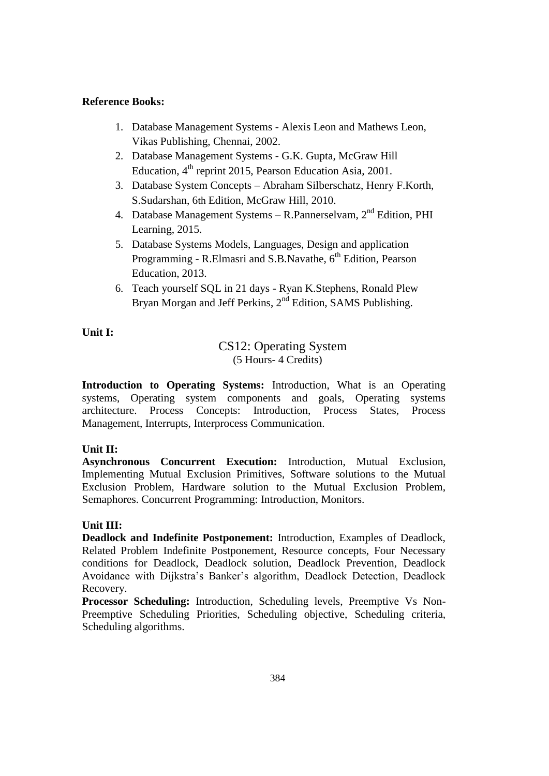# **Reference Books:**

- 1. Database Management Systems Alexis Leon and Mathews Leon, Vikas Publishing, Chennai, 2002.
- 2. Database Management Systems G.K. Gupta, McGraw Hill Education,  $4<sup>th</sup>$  reprint 2015, Pearson Education Asia, 2001.
- 3. Database System Concepts Abraham Silberschatz, Henry F.Korth, S.Sudarshan, 6th Edition, McGraw Hill, 2010.
- 4. Database Management Systems R.Pannerselvam,  $2<sup>nd</sup>$  Edition, PHI Learning, 2015.
- 5. Database Systems Models, Languages, Design and application Programming - R.Elmasri and S.B.Navathe, 6<sup>th</sup> Edition, Pearson Education, 2013.
- 6. Teach yourself SQL in 21 days Ryan K.Stephens, Ronald Plew Bryan Morgan and Jeff Perkins, 2<sup>nd</sup> Edition, SAMS Publishing.

# **Unit I:**

# CS12: Operating System (5 Hours- 4 Credits)

**Introduction to Operating Systems:** Introduction, What is an Operating systems, Operating system components and goals, Operating systems architecture. Process Concepts: Introduction, Process States, Process Management, Interrupts, Interprocess Communication.

# **Unit II:**

**Asynchronous Concurrent Execution:** Introduction, Mutual Exclusion, Implementing Mutual Exclusion Primitives, Software solutions to the Mutual Exclusion Problem, Hardware solution to the Mutual Exclusion Problem, Semaphores. Concurrent Programming: Introduction, Monitors.

# **Unit III:**

**Deadlock and Indefinite Postponement:** Introduction, Examples of Deadlock, Related Problem Indefinite Postponement, Resource concepts, Four Necessary conditions for Deadlock, Deadlock solution, Deadlock Prevention, Deadlock Avoidance with Dijkstra's Banker's algorithm, Deadlock Detection, Deadlock Recovery.

**Processor Scheduling:** Introduction, Scheduling levels, Preemptive Vs Non-Preemptive Scheduling Priorities, Scheduling objective, Scheduling criteria, Scheduling algorithms.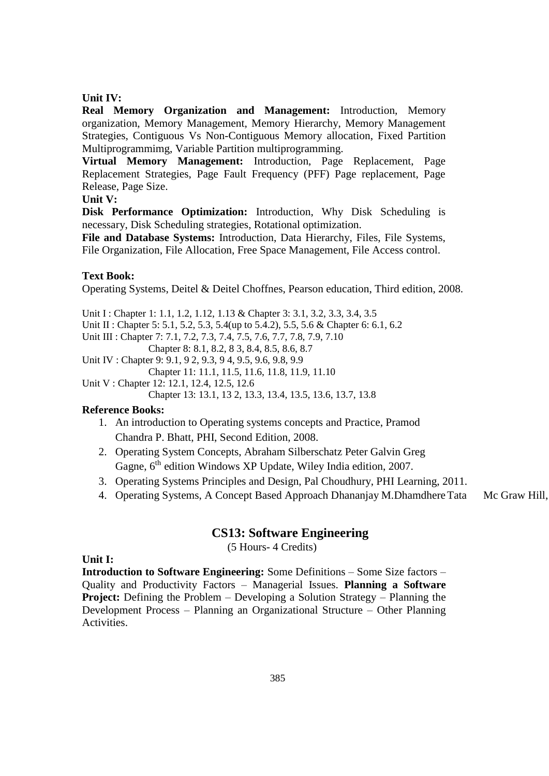### **Unit IV:**

**Real Memory Organization and Management:** Introduction, Memory organization, Memory Management, Memory Hierarchy, Memory Management Strategies, Contiguous Vs Non-Contiguous Memory allocation, Fixed Partition Multiprogrammimg, Variable Partition multiprogramming.

**Virtual Memory Management:** Introduction, Page Replacement, Page Replacement Strategies, Page Fault Frequency (PFF) Page replacement, Page Release, Page Size.

# **Unit V:**

**Disk Performance Optimization:** Introduction, Why Disk Scheduling is necessary, Disk Scheduling strategies, Rotational optimization.

**File and Database Systems:** Introduction, Data Hierarchy, Files, File Systems, File Organization, File Allocation, Free Space Management, File Access control.

### **Text Book:**

Operating Systems, Deitel & Deitel Choffnes, Pearson education, Third edition, 2008.

Unit I : Chapter 1: 1.1, 1.2, 1.12, 1.13 & Chapter 3: 3.1, 3.2, 3.3, 3.4, 3.5 Unit II : Chapter 5: 5.1, 5.2, 5.3, 5.4(up to 5.4.2), 5.5, 5.6 & Chapter 6: 6.1, 6.2

Unit III : Chapter 7: 7.1, 7.2, 7.3, 7.4, 7.5, 7.6, 7.7, 7.8, 7.9, 7.10

Chapter 8: 8.1, 8.2, 8 3, 8.4, 8.5, 8.6, 8.7 Unit IV : Chapter 9: 9.1, 9 2, 9.3, 9 4, 9.5, 9.6, 9.8, 9.9

Chapter 11: 11.1, 11.5, 11.6, 11.8, 11.9, 11.10

Unit V : Chapter 12: 12.1, 12.4, 12.5, 12.6

Chapter 13: 13.1, 13 2, 13.3, 13.4, 13.5, 13.6, 13.7, 13.8

### **Reference Books:**

- 1. An introduction to Operating systems concepts and Practice, Pramod Chandra P. Bhatt, PHI, Second Edition, 2008.
- 2. Operating System Concepts, Abraham Silberschatz Peter Galvin Greg Gagne, 6<sup>th</sup> edition Windows XP Update, Wiley India edition, 2007.
- 3. Operating Systems Principles and Design, Pal Choudhury, PHI Learning, 2011.
- 4. Operating Systems, A Concept Based Approach Dhananjay M.Dhamdhere Tata Mc Graw Hill,

# **CS13: Software Engineering**

(5 Hours- 4 Credits)

**Unit I:**

**Introduction to Software Engineering:** Some Definitions – Some Size factors – Quality and Productivity Factors – Managerial Issues. **Planning a Software Project:** Defining the Problem – Developing a Solution Strategy – Planning the Development Process – Planning an Organizational Structure – Other Planning Activities.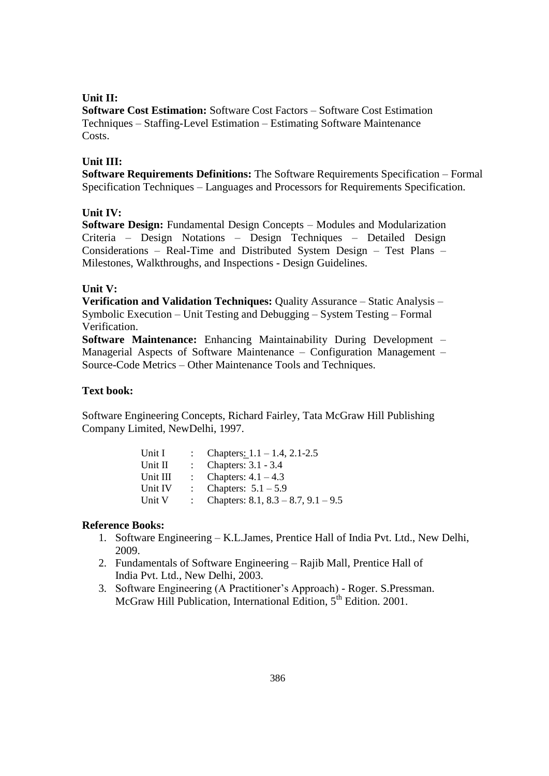### **Unit II:**

**Software Cost Estimation:** Software Cost Factors – Software Cost Estimation Techniques – Staffing-Level Estimation – Estimating Software Maintenance Costs.

### **Unit III:**

**Software Requirements Definitions:** The Software Requirements Specification – Formal Specification Techniques – Languages and Processors for Requirements Specification.

### **Unit IV:**

**Software Design:** Fundamental Design Concepts – Modules and Modularization Criteria – Design Notations – Design Techniques – Detailed Design Considerations – Real-Time and Distributed System Design – Test Plans – Milestones, Walkthroughs, and Inspections - Design Guidelines.

### **Unit V:**

**Verification and Validation Techniques:** Quality Assurance – Static Analysis – Symbolic Execution – Unit Testing and Debugging – System Testing – Formal Verification.

**Software Maintenance:** Enhancing Maintainability During Development – Managerial Aspects of Software Maintenance – Configuration Management – Source-Code Metrics – Other Maintenance Tools and Techniques.

### **Text book:**

Software Engineering Concepts, Richard Fairley, Tata McGraw Hill Publishing Company Limited, NewDelhi, 1997.

| Unit I   | Chapters: $1.1 - 1.4$ , 2.1-2.5       |
|----------|---------------------------------------|
| Unit II  | Chapters: 3.1 - 3.4                   |
| Unit III | Chapters: $4.1 - 4.3$                 |
| Unit IV  | Chapters: $5.1 - 5.9$                 |
| Unit V   | Chapters: $8.1, 8.3 - 8.7, 9.1 - 9.5$ |

### **Reference Books:**

- 1. Software Engineering K.L.James, Prentice Hall of India Pvt. Ltd., New Delhi, 2009.
- 2. Fundamentals of Software Engineering Rajib Mall, Prentice Hall of India Pvt. Ltd., New Delhi, 2003.
- 3. Software Engineering (A Practitioner's Approach) Roger. S.Pressman. McGraw Hill Publication, International Edition, 5<sup>th</sup> Edition. 2001.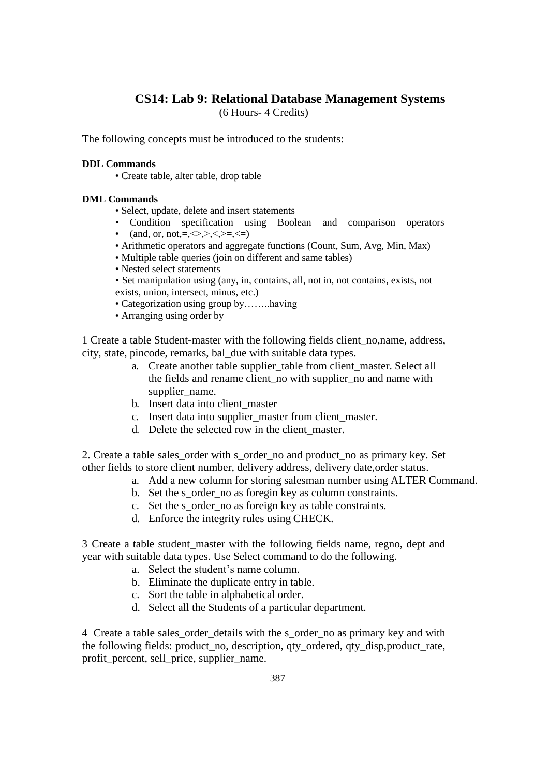# **CS14: Lab 9: Relational Database Management Systems**

(6 Hours- 4 Credits)

The following concepts must be introduced to the students:

### **DDL Commands**

• Create table, alter table, drop table

### **DML Commands**

- Select, update, delete and insert statements
- Condition specification using Boolean and comparison operators
- (and, or, not, =,  $\langle \rangle$ ,  $\langle \rangle$ ,  $\langle \rangle$ ,  $\langle \rangle$ ,  $\langle \rangle$ ,  $\langle \rangle$
- Arithmetic operators and aggregate functions (Count, Sum, Avg, Min, Max)
- Multiple table queries (join on different and same tables)
- Nested select statements
- Set manipulation using (any, in, contains, all, not in, not contains, exists, not exists, union, intersect, minus, etc.)
- Categorization using group by……..having
- Arranging using order by

1 Create a table Student-master with the following fields client\_no,name, address, city, state, pincode, remarks, bal\_due with suitable data types.

- a. Create another table supplier table from client master. Select all the fields and rename client no with supplier no and name with supplier\_name.
- b. Insert data into client\_master
- c. Insert data into supplier\_master from client\_master.
- d. Delete the selected row in the client master.

2. Create a table sales\_order with s\_order\_no and product\_no as primary key. Set other fields to store client number, delivery address, delivery date,order status.

- a. Add a new column for storing salesman number using ALTER Command.
- b. Set the s order no as foregin key as column constraints.
- c. Set the s\_order\_no as foreign key as table constraints.
- d. Enforce the integrity rules using CHECK.

3 Create a table student\_master with the following fields name, regno, dept and year with suitable data types. Use Select command to do the following.

- a. Select the student's name column.
- b. Eliminate the duplicate entry in table.
- c. Sort the table in alphabetical order.
- d. Select all the Students of a particular department.

4 Create a table sales order details with the s order no as primary key and with the following fields: product\_no, description, qty\_ordered, qty\_disp,product\_rate, profit\_percent, sell\_price, supplier\_name.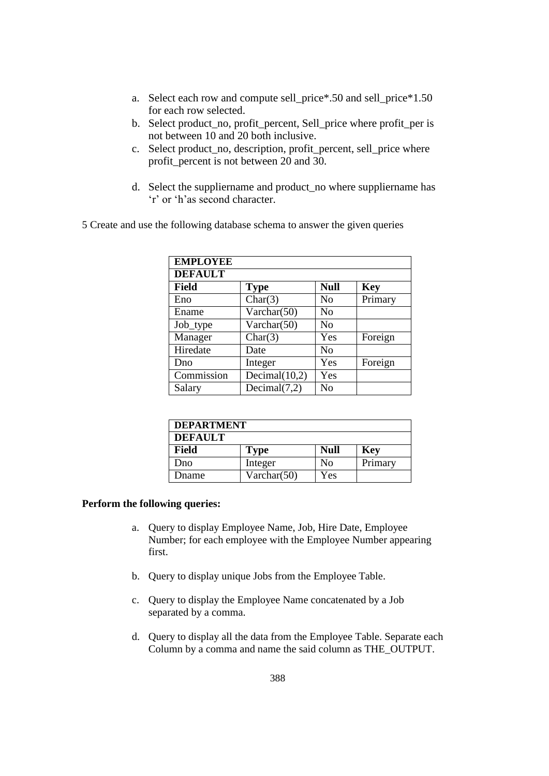- a. Select each row and compute sell\_price\*.50 and sell\_price\*1.50 for each row selected.
- b. Select product\_no, profit\_percent, Sell\_price where profit\_per is not between 10 and 20 both inclusive.
- c. Select product\_no, description, profit\_percent, sell\_price where profit\_percent is not between 20 and 30.
- d. Select the suppliername and product\_no where suppliername has 'r' or 'h'as second character.

5 Create and use the following database schema to answer the given queries

| <b>EMPLOYEE</b> |                  |                |            |
|-----------------|------------------|----------------|------------|
| <b>DEFAULT</b>  |                  |                |            |
| <b>Field</b>    | <b>Type</b>      | <b>Null</b>    | <b>Key</b> |
| Eno             | Char(3)          | No             | Primary    |
| Ename           | Varchar(50)      | No             |            |
| Job_type        | Varchar(50)      | N <sub>0</sub> |            |
| Manager         | Char(3)          | Yes            | Foreign    |
| Hiredate        | Date             | N <sub>o</sub> |            |
| Dno             | Integer          | Yes            | Foreign    |
| Commission      | Decimal $(10,2)$ | Yes            |            |
| Salary          | Decimal $(7,2)$  | No             |            |

| <b>DEPARTMENT</b> |             |             |            |
|-------------------|-------------|-------------|------------|
| <b>DEFAULT</b>    |             |             |            |
| <b>Field</b>      | <b>Type</b> | <b>Null</b> | <b>Key</b> |
| Dno               | Integer     | No          | Primary    |
| <b>D</b> name     | Varchar(50) | Yes         |            |

### **Perform the following queries:**

- a. Query to display Employee Name, Job, Hire Date, Employee Number; for each employee with the Employee Number appearing first.
- b. Query to display unique Jobs from the Employee Table.
- c. Query to display the Employee Name concatenated by a Job separated by a comma.
- d. Query to display all the data from the Employee Table. Separate each Column by a comma and name the said column as THE\_OUTPUT.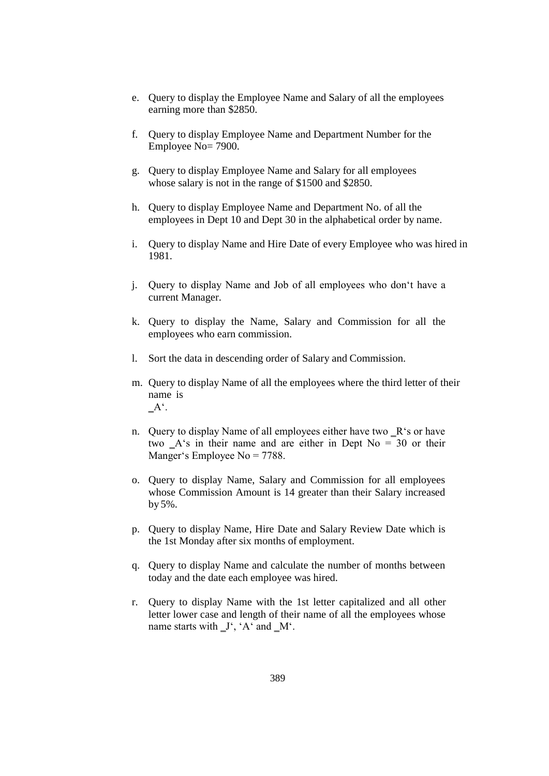- e. Query to display the Employee Name and Salary of all the employees earning more than \$2850.
- f. Query to display Employee Name and Department Number for the Employee No= 7900.
- g. Query to display Employee Name and Salary for all employees whose salary is not in the range of \$1500 and \$2850.
- h. Query to display Employee Name and Department No. of all the employees in Dept 10 and Dept 30 in the alphabetical order by name.
- i. Query to display Name and Hire Date of every Employee who was hired in 1981.
- j. Query to display Name and Job of all employees who don't have a current Manager.
- k. Query to display the Name, Salary and Commission for all the employees who earn commission.
- l. Sort the data in descending order of Salary and Commission.
- m. Query to display Name of all the employees where the third letter of their name is  $A^{\prime}$ .
- n. Query to display Name of all employees either have two  $R$ 's or have two  $A$ 's in their name and are either in Dept No = 30 or their Manger's Employee No = 7788.
- o. Query to display Name, Salary and Commission for all employees whose Commission Amount is 14 greater than their Salary increased by 5%.
- p. Query to display Name, Hire Date and Salary Review Date which is the 1st Monday after six months of employment.
- q. Query to display Name and calculate the number of months between today and the date each employee was hired.
- r. Query to display Name with the 1st letter capitalized and all other letter lower case and length of their name of all the employees whose name starts with  $\mathbf{J}^{\prime}$ , 'A' and  $\mathbf{M}^{\prime}$ .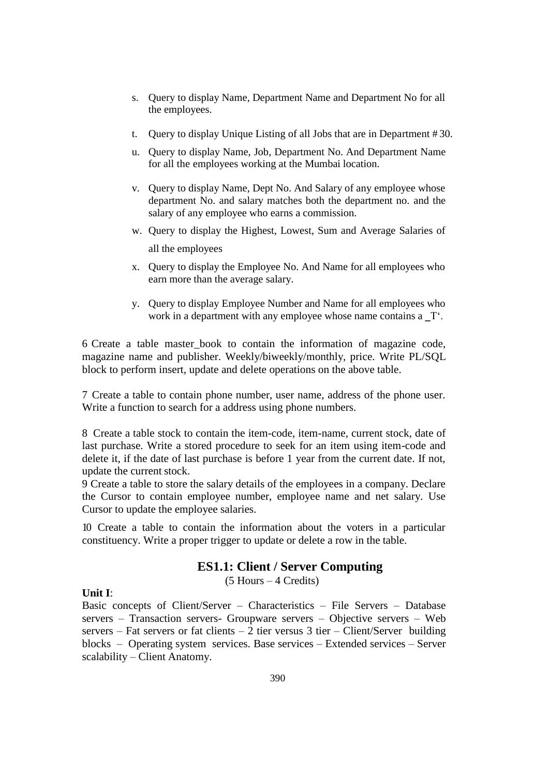- s. Query to display Name, Department Name and Department No for all the employees.
- t. Query to display Unique Listing of all Jobs that are in Department # 30.
- u. Query to display Name, Job, Department No. And Department Name for all the employees working at the Mumbai location.
- v. Query to display Name, Dept No. And Salary of any employee whose department No. and salary matches both the department no. and the salary of any employee who earns a commission.
- w. Query to display the Highest, Lowest, Sum and Average Salaries of all the employees
- x. Query to display the Employee No. And Name for all employees who earn more than the average salary.
- y. Query to display Employee Number and Name for all employees who work in a department with any employee whose name contains  $a_T$ .

6 Create a table master\_book to contain the information of magazine code, magazine name and publisher. Weekly/biweekly/monthly, price. Write PL/SQL block to perform insert, update and delete operations on the above table.

7 Create a table to contain phone number, user name, address of the phone user. Write a function to search for a address using phone numbers.

8 Create a table stock to contain the item-code, item-name, current stock, date of last purchase. Write a stored procedure to seek for an item using item-code and delete it, if the date of last purchase is before 1 year from the current date. If not, update the current stock.

9 Create a table to store the salary details of the employees in a company. Declare the Cursor to contain employee number, employee name and net salary. Use Cursor to update the employee salaries.

10 Create a table to contain the information about the voters in a particular constituency. Write a proper trigger to update or delete a row in the table.

# **ES1.1: Client / Server Computing**

(5 Hours – 4 Credits)

# **Unit I**:

Basic concepts of Client/Server – Characteristics – File Servers – Database servers – Transaction servers- Groupware servers – Objective servers – Web servers – Fat servers or fat clients – 2 tier versus 3 tier – Client/Server building blocks – Operating system services. Base services – Extended services – Server scalability – Client Anatomy.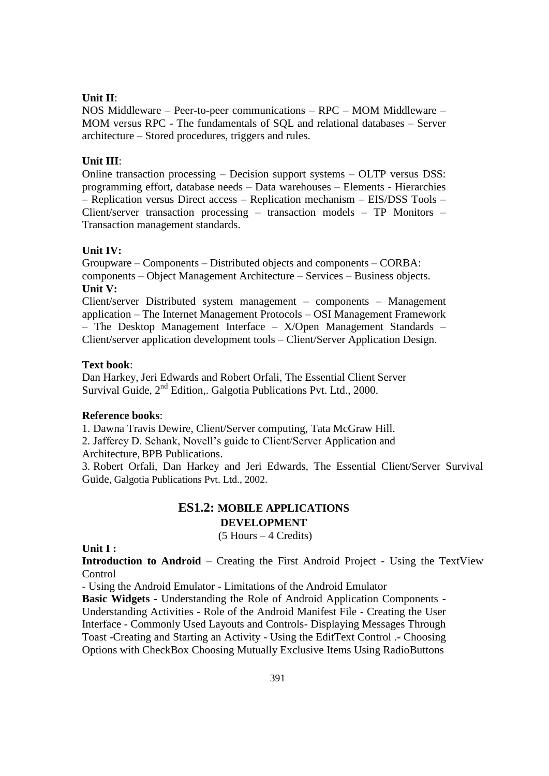### **Unit II**:

NOS Middleware – Peer-to-peer communications – RPC – MOM Middleware – MOM versus RPC - The fundamentals of SQL and relational databases – Server architecture – Stored procedures, triggers and rules.

### **Unit III**:

Online transaction processing – Decision support systems – OLTP versus DSS: programming effort, database needs – Data warehouses – Elements - Hierarchies – Replication versus Direct access – Replication mechanism – EIS/DSS Tools – Client/server transaction processing – transaction models – TP Monitors – Transaction management standards.

### **Unit IV:**

Groupware – Components – Distributed objects and components – CORBA: components – Object Management Architecture – Services – Business objects. **Unit V:**

Client/server Distributed system management – components – Management application – The Internet Management Protocols – OSI Management Framework – The Desktop Management Interface – X/Open Management Standards – Client/server application development tools – Client/Server Application Design.

### **Text book**:

Dan Harkey, Jeri Edwards and Robert Orfali, The Essential Client Server Survival Guide,  $2<sup>nd</sup>$  Edition,. Galgotia Publications Pvt. Ltd., 2000.

### **Reference books**:

1. Dawna Travis Dewire, Client/Server computing, Tata McGraw Hill.

2. Jafferey D. Schank, Novell's guide to Client/Server Application and

Architecture, BPB Publications.

3. Robert Orfali, Dan Harkey and Jeri Edwards, The Essential Client/Server Survival Guide, Galgotia Publications Pvt. Ltd., 2002.

# **ES1.2: MOBILE APPLICATIONS DEVELOPMENT**

(5 Hours – 4 Credits)

**Unit I :**

**Introduction to Android** – Creating the First Android Project - Using the TextView Control

- Using the Android Emulator - Limitations of the Android Emulator

**Basic Widgets -** Understanding the Role of Android Application Components - Understanding Activities - Role of the Android Manifest File - Creating the User Interface - Commonly Used Layouts and Controls- Displaying Messages Through Toast -Creating and Starting an Activity - Using the EditText Control .- Choosing Options with CheckBox Choosing Mutually Exclusive Items Using RadioButtons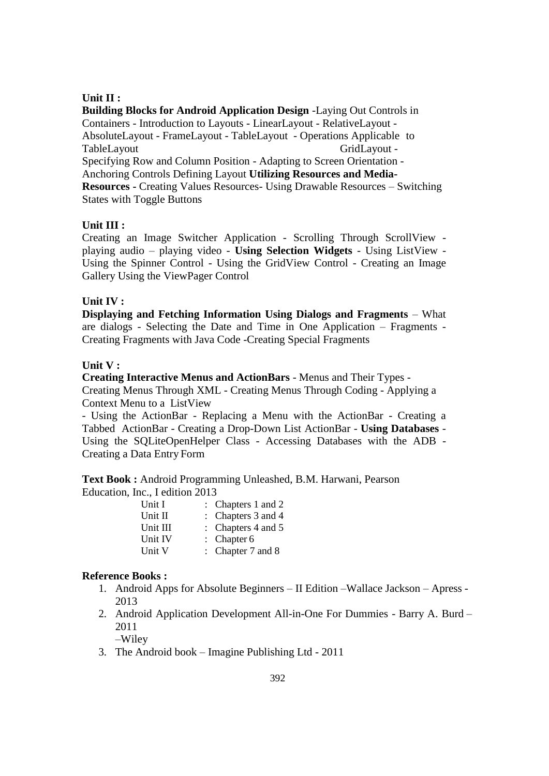# **Unit II :**

**Building Blocks for Android Application Design** -Laying Out Controls in Containers - Introduction to Layouts - LinearLayout - RelativeLayout - AbsoluteLayout - FrameLayout - TableLayout - Operations Applicable to TableLayout GridLayout -Specifying Row and Column Position - Adapting to Screen Orientation - Anchoring Controls Defining Layout **Utilizing Resources and Media-Resources -** Creating Values Resources- Using Drawable Resources – Switching States with Toggle Buttons

# **Unit III :**

Creating an Image Switcher Application - Scrolling Through ScrollView playing audio – playing video - **Using Selection Widgets** - Using ListView - Using the Spinner Control - Using the GridView Control - Creating an Image Gallery Using the ViewPager Control

## **Unit IV :**

**Displaying and Fetching Information Using Dialogs and Fragments** – What are dialogs - Selecting the Date and Time in One Application – Fragments - Creating Fragments with Java Code -Creating Special Fragments

### **Unit V :**

**Creating Interactive Menus and ActionBars** - Menus and Their Types - Creating Menus Through XML - Creating Menus Through Coding - Applying a Context Menu to a ListView

- Using the ActionBar - Replacing a Menu with the ActionBar - Creating a Tabbed ActionBar - Creating a Drop-Down List ActionBar - **Using Databases** - Using the SQLiteOpenHelper Class - Accessing Databases with the ADB - Creating a Data Entry Form

**Text Book :** Android Programming Unleashed, B.M. Harwani, Pearson Education, Inc., I edition 2013

| Unit I   | : Chapters 1 and 2     |
|----------|------------------------|
| Unit II  | : Chapters 3 and 4     |
| Unit III | : Chapters $4$ and $5$ |
| Unit IV  | : Chapter $6$          |
| Unit V   | : Chapter $7$ and $8$  |

### **Reference Books :**

- 1. Android Apps for Absolute Beginners II Edition –Wallace Jackson Apress 2013
- 2. Android Application Development All-in-One For Dummies Barry A. Burd 2011 –Wiley
- 3. The Android book Imagine Publishing Ltd 2011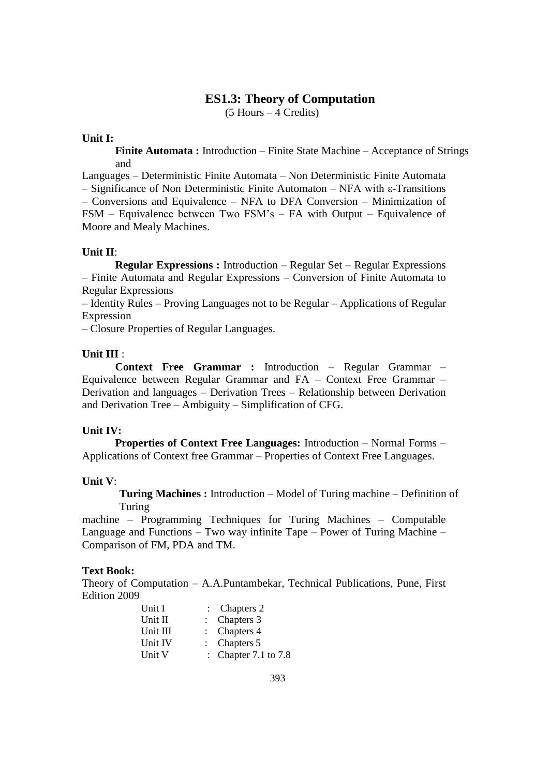# **ES1.3: Theory of Computation**

(5 Hours – 4 Credits)

### **Unit I:**

**Finite Automata :** Introduction – Finite State Machine – Acceptance of Strings and

Languages – Deterministic Finite Automata – Non Deterministic Finite Automata – Significance of Non Deterministic Finite Automaton – NFA with ε-Transitions – Conversions and Equivalence – NFA to DFA Conversion – Minimization of FSM – Equivalence between Two FSM's – FA with Output – Equivalence of Moore and Mealy Machines.

### **Unit II**:

**Regular Expressions :** Introduction – Regular Set – Regular Expressions – Finite Automata and Regular Expressions – Conversion of Finite Automata to Regular Expressions

– Identity Rules – Proving Languages not to be Regular – Applications of Regular Expression

– Closure Properties of Regular Languages.

### **Unit III** :

**Context Free Grammar :** Introduction – Regular Grammar – Equivalence between Regular Grammar and FA – Context Free Grammar – Derivation and languages – Derivation Trees – Relationship between Derivation and Derivation Tree – Ambiguity – Simplification of CFG.

### **Unit IV:**

**Properties of Context Free Languages:** Introduction – Normal Forms – Applications of Context free Grammar – Properties of Context Free Languages.

### **Unit V**:

**Turing Machines :** Introduction – Model of Turing machine – Definition of Turing

machine – Programming Techniques for Turing Machines – Computable Language and Functions – Two way infinite Tape – Power of Turing Machine – Comparison of FM, PDA and TM.

### **Text Book:**

Theory of Computation – A.A.Puntambekar, Technical Publications, Pune, First Edition 2009

| : Chapter 7.1 to $7.8$ |
|------------------------|
|                        |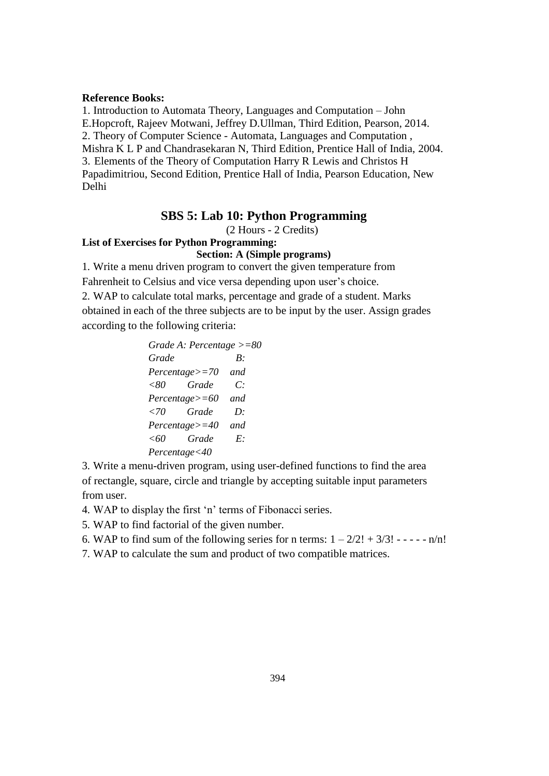### **Reference Books:**

1. Introduction to Automata Theory, Languages and Computation – John E.Hopcroft, Rajeev Motwani, Jeffrey D.Ullman, Third Edition, Pearson, 2014. 2. Theory of Computer Science - Automata, Languages and Computation , Mishra K L P and Chandrasekaran N, Third Edition, Prentice Hall of India, 2004. 3. Elements of the Theory of Computation Harry R Lewis and Christos H Papadimitriou, Second Edition, Prentice Hall of India, Pearson Education, New Delhi

### **SBS 5: Lab 10: Python Programming**

(2 Hours - 2 Credits)

# **List of Exercises for Python Programming:**

**Section: A (Simple programs)**

1. Write a menu driven program to convert the given temperature from

Fahrenheit to Celsius and vice versa depending upon user's choice.

2. WAP to calculate total marks, percentage and grade of a student. Marks

obtained in each of the three subjects are to be input by the user. Assign grades according to the following criteria:

> *Grade A: Percentage >=80 Grade B: Percentage>=70 and <80 Grade C: Percentage>=60 and <70 Grade D: Percentage>=40 and <60 Grade E: Percentage<40*

3. Write a menu-driven program, using user-defined functions to find the area of rectangle, square, circle and triangle by accepting suitable input parameters from user.

4. WAP to display the first 'n' terms of Fibonacci series.

5. WAP to find factorial of the given number.

6. WAP to find sum of the following series for n terms:  $1 - 2/2! + 3/3! - - - \cdot n/n!$ 

7. WAP to calculate the sum and product of two compatible matrices.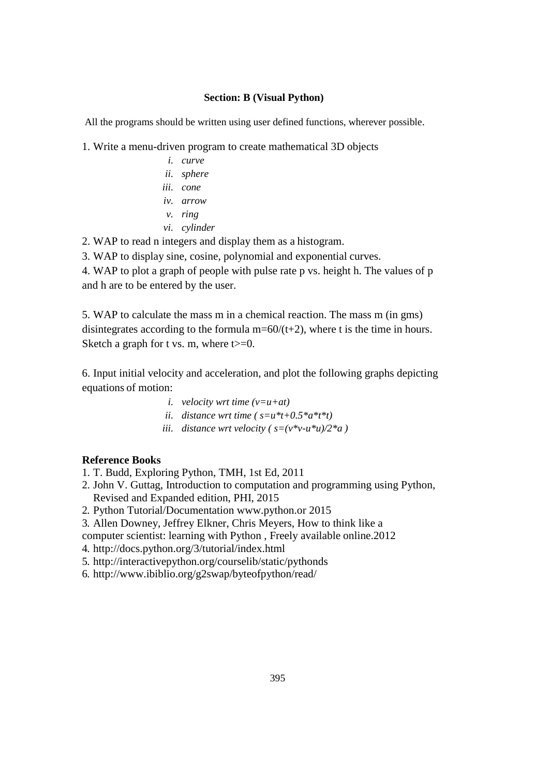### **Section: B (Visual Python)**

All the programs should be written using user defined functions, wherever possible.

1. Write a menu-driven program to create mathematical 3D objects

*i. curve ii. sphere iii. cone iv. arrow v. ring vi. cylinder*

2. WAP to read n integers and display them as a histogram.

3. WAP to display sine, cosine, polynomial and exponential curves.

4. WAP to plot a graph of people with pulse rate p vs. height h. The values of p and h are to be entered by the user.

5. WAP to calculate the mass m in a chemical reaction. The mass m (in gms) disintegrates according to the formula  $m=60/(t+2)$ , where t is the time in hours. Sketch a graph for t vs. m, where  $t>=0$ .

6. Input initial velocity and acceleration, and plot the following graphs depicting equations of motion:

- *i. velocity wrt time (v=u+at)*
- *ii. distance wrt time* ( $s=u*t+0.5*a*t*t$ )
- *iii. distance wrt velocity* ( $s=(v^*v-u^*u)/2^*a$ )

# **Reference Books**

1. T. Budd, Exploring Python, TMH, 1st Ed, 2011

- 2. John V. Guttag, Introduction to computation and programming using Python, Revised and Expanded edition, PHI, 2015
- 2. Python Tutorial/Documentation [www.python.or](http://www.python.or/) 2015
- 3. Allen Downey, Jeffrey Elkner, Chris Meyers, How to think like a

computer scientist: learning with Python , Freely available online.2012

- 4. <http://docs.python.org/3/tutorial/index.html>
- 5. <http://interactivepython.org/courselib/static/pythonds>

6. <http://www.ibiblio.org/g2swap/byteofpython/read/>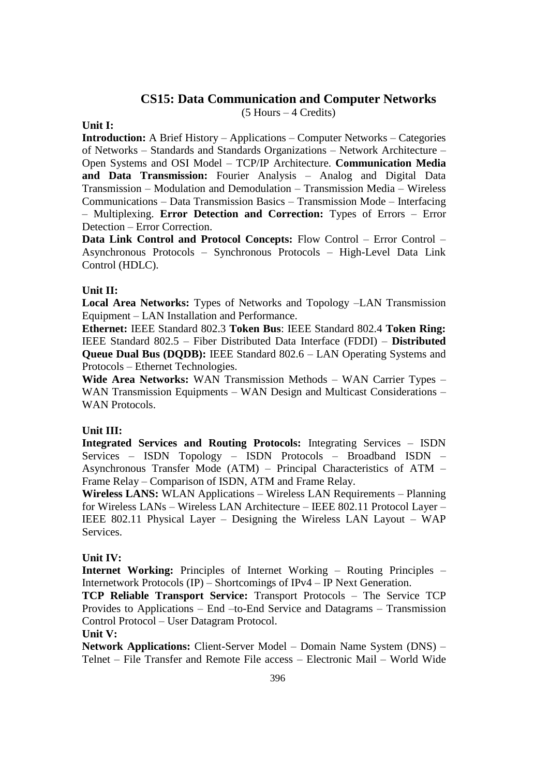# **CS15: Data Communication and Computer Networks**

(5 Hours – 4 Credits)

### **Unit I:**

**Introduction:** A Brief History – Applications – Computer Networks – Categories of Networks – Standards and Standards Organizations – Network Architecture – Open Systems and OSI Model – TCP/IP Architecture. **Communication Media and Data Transmission:** Fourier Analysis – Analog and Digital Data Transmission – Modulation and Demodulation – Transmission Media – Wireless Communications – Data Transmission Basics – Transmission Mode – Interfacing – Multiplexing. **Error Detection and Correction:** Types of Errors – Error Detection – Error Correction.

**Data Link Control and Protocol Concepts:** Flow Control – Error Control – Asynchronous Protocols – Synchronous Protocols – High-Level Data Link Control (HDLC).

### **Unit II:**

**Local Area Networks:** Types of Networks and Topology –LAN Transmission Equipment – LAN Installation and Performance.

**Ethernet:** IEEE Standard 802.3 **Token Bus**: IEEE Standard 802.4 **Token Ring:**  IEEE Standard 802.5 – Fiber Distributed Data Interface (FDDI) – **Distributed Queue Dual Bus (DQDB):** IEEE Standard 802.6 – LAN Operating Systems and Protocols – Ethernet Technologies.

**Wide Area Networks:** WAN Transmission Methods – WAN Carrier Types – WAN Transmission Equipments – WAN Design and Multicast Considerations – WAN Protocols.

# **Unit III:**

**Integrated Services and Routing Protocols:** Integrating Services – ISDN Services – ISDN Topology – ISDN Protocols – Broadband ISDN – Asynchronous Transfer Mode (ATM) – Principal Characteristics of ATM – Frame Relay – Comparison of ISDN, ATM and Frame Relay.

**Wireless LANS:** WLAN Applications – Wireless LAN Requirements – Planning for Wireless LANs – Wireless LAN Architecture – IEEE 802.11 Protocol Layer – IEEE 802.11 Physical Layer – Designing the Wireless LAN Layout – WAP Services.

### **Unit IV:**

**Internet Working:** Principles of Internet Working – Routing Principles – Internetwork Protocols (IP) – Shortcomings of IPv4 – IP Next Generation.

**TCP Reliable Transport Service:** Transport Protocols – The Service TCP Provides to Applications – End –to-End Service and Datagrams – Transmission Control Protocol – User Datagram Protocol.

### **Unit V:**

**Network Applications:** Client-Server Model – Domain Name System (DNS) – Telnet – File Transfer and Remote File access – Electronic Mail – World Wide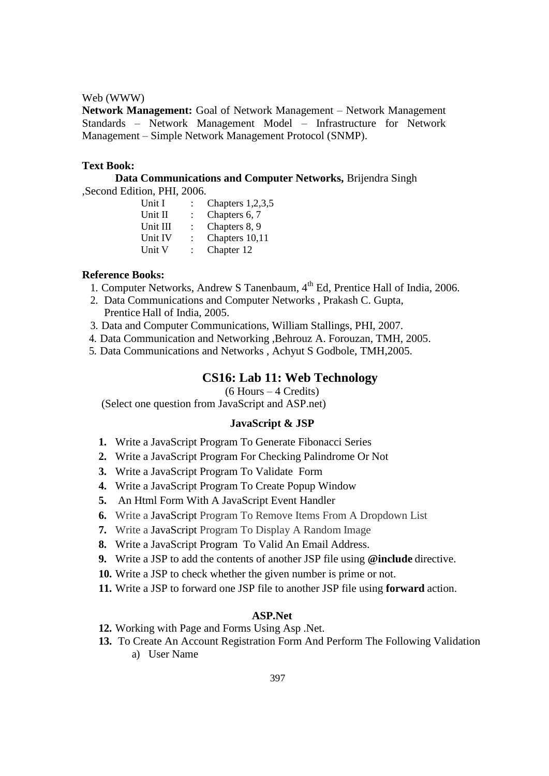#### Web (WWW)

**Network Management:** Goal of Network Management – Network Management Standards – Network Management Model – Infrastructure for Network Management – Simple Network Management Protocol (SNMP).

### **Text Book:**

**Data Communications and Computer Networks,** Brijendra Singh ,Second Edition, PHI, 2006.

| Unit I   | Chapters $1,2,3,5$ |
|----------|--------------------|
| Unit II  | Chapters 6, 7      |
| Unit III | Chapters 8, 9      |
| Unit IV  | Chapters 10,11     |
| Unit V   | Chapter 12         |

### **Reference Books:**

- 1. Computer Networks, Andrew S Tanenbaum, 4<sup>th</sup> Ed, Prentice Hall of India, 2006.
- 2. Data Communications and Computer Networks , Prakash C. Gupta, Prentice Hall of India, 2005.
- 3. Data and Computer Communications, William Stallings, PHI, 2007.
- 4. Data Communication and Networking ,Behrouz A. Forouzan, TMH, 2005.
- 5. Data Communications and Networks , Achyut S Godbole, TMH,2005.

# **CS16: Lab 11: Web Technology**

(6 Hours – 4 Credits)

(Select one question from JavaScript and ASP.net)

### **JavaScript & JSP**

- **1.** Write a JavaScript Program To Generate Fibonacci Series
- **2.** Write a JavaScript Program For Checking Palindrome Or Not
- **3.** Write a JavaScript Program To Validate Form
- **4.** Write a JavaScript Program To Create Popup Window
- **5.** An Html Form With A JavaScript Event Handler
- **6.** Write a JavaScript Program To Remove Items From A Dropdown List
- **7.** Write a JavaScript Program To Display A Random Image
- **8.** Write a JavaScript Program To Valid An Email Address.
- **9.** Write a JSP to add the contents of another JSP file using **@include** directive.
- **10.** Write a JSP to check whether the given number is prime or not.
- **11.** Write a JSP to forward one JSP file to another JSP file using **forward** action.

#### **ASP.Net**

- **12.** Working with Page and Forms Using Asp .Net.
- **13.** To Create An Account Registration Form And Perform The Following Validation a) User Name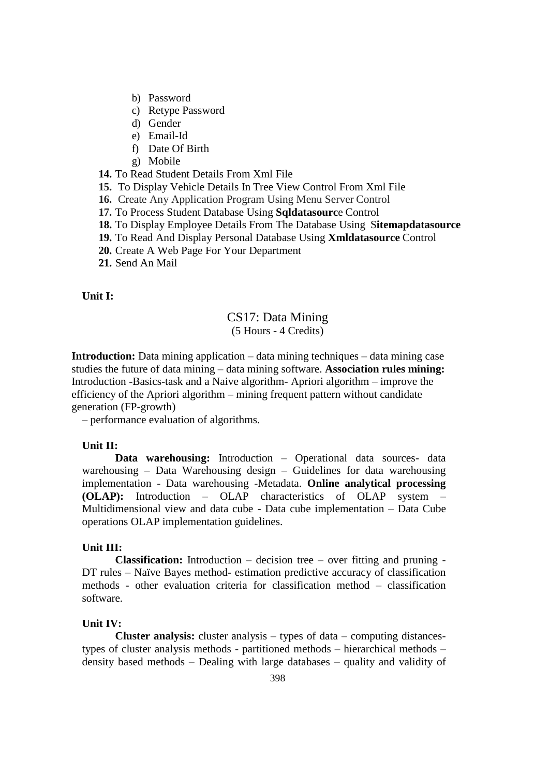- b) Password
- c) Retype Password
- d) Gender
- e) Email-Id
- f) Date Of Birth
- g) Mobile

**14.** To Read Student Details From Xml File

- **15.** To Display Vehicle Details In Tree View Control From Xml File
- **16.** Create Any Application Program Using Menu Server Control
- **17.** To Process Student Database Using **Sqldatasourc**e Control
- **18.** To Display Employee Details From The Database Using S**itemapdatasource**
- **19.** To Read And Display Personal Database Using **Xmldatasource** Control
- **20.** Create A Web Page For Your Department
- **21.** Send An Mail

### **Unit I:**

### CS17: Data Mining (5 Hours - 4 Credits)

**Introduction:** Data mining application – data mining techniques – data mining case studies the future of data mining – data mining software. **Association rules mining:**  Introduction -Basics-task and a Naive algorithm- Apriori algorithm – improve the efficiency of the Apriori algorithm – mining frequent pattern without candidate generation (FP-growth)

– performance evaluation of algorithms.

### **Unit II:**

**Data warehousing:** Introduction – Operational data sources- data warehousing – Data Warehousing design – Guidelines for data warehousing implementation - Data warehousing -Metadata. **Online analytical processing (OLAP):** Introduction – OLAP characteristics of OLAP system – Multidimensional view and data cube - Data cube implementation – Data Cube operations OLAP implementation guidelines.

### **Unit III:**

**Classification:** Introduction – decision tree – over fitting and pruning - DT rules – Naïve Bayes method- estimation predictive accuracy of classification methods - other evaluation criteria for classification method – classification software.

#### **Unit IV:**

**Cluster analysis:** cluster analysis – types of data – computing distancestypes of cluster analysis methods - partitioned methods – hierarchical methods – density based methods – Dealing with large databases – quality and validity of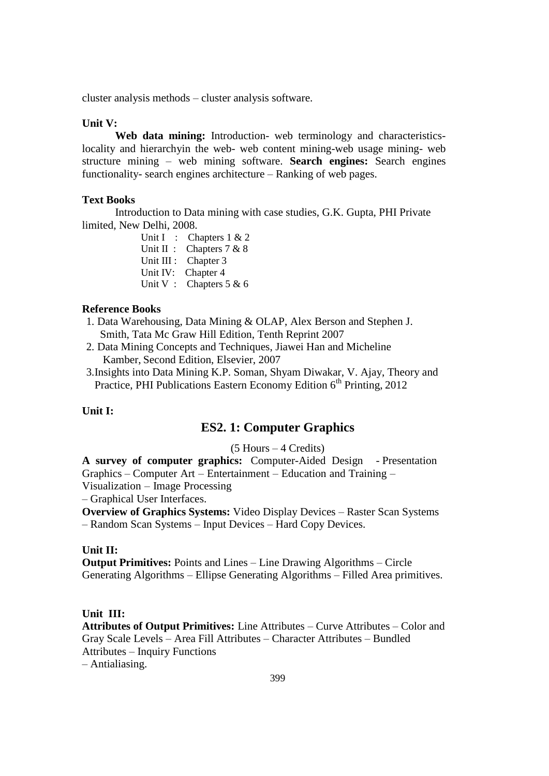cluster analysis methods – cluster analysis software.

### **Unit V:**

**Web data mining:** Introduction- web terminology and characteristicslocality and hierarchyin the web- web content mining-web usage mining- web structure mining – web mining software. **Search engines:** Search engines functionality- search engines architecture – Ranking of web pages.

# **Text Books**

Introduction to Data mining with case studies, G.K. Gupta, PHI Private limited, New Delhi, 2008.

Unit I : Chapters 1 & 2 Unit II : Chapters  $7 & 8$ Unit III : Chapter 3 Unit IV: Chapter 4 Unit V : Chapters 5 & 6

### **Reference Books**

- 1. Data Warehousing, Data Mining & OLAP, Alex Berson and Stephen J. Smith, Tata Mc Graw Hill Edition, Tenth Reprint 2007
- 2. Data Mining Concepts and Techniques, Jiawei Han and Micheline Kamber, Second Edition, Elsevier, 2007
- 3.Insights into Data Mining K.P. Soman, Shyam Diwakar, V. Ajay, Theory and Practice, PHI Publications Eastern Economy Edition 6<sup>th</sup> Printing, 2012

### **Unit I:**

# **ES2. 1: Computer Graphics**

(5 Hours – 4 Credits)

**A survey of computer graphics:** Computer-Aided Design - Presentation Graphics – Computer Art – Entertainment – Education and Training – Visualization – Image Processing

– Graphical User Interfaces.

**Overview of Graphics Systems:** Video Display Devices – Raster Scan Systems – Random Scan Systems – Input Devices – Hard Copy Devices.

### **Unit II:**

**Output Primitives:** Points and Lines – Line Drawing Algorithms – Circle Generating Algorithms – Ellipse Generating Algorithms – Filled Area primitives.

#### **Unit III:**

**Attributes of Output Primitives:** Line Attributes – Curve Attributes – Color and Gray Scale Levels – Area Fill Attributes – Character Attributes – Bundled Attributes – Inquiry Functions – Antialiasing.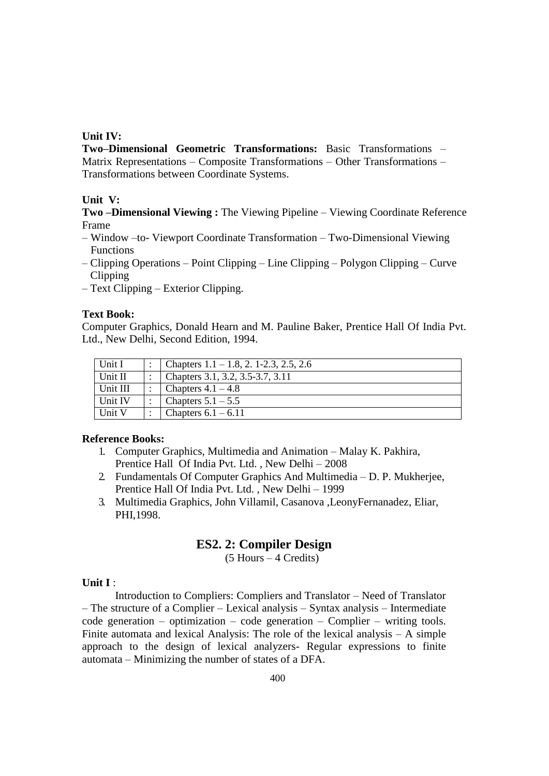# **Unit IV:**

**Two–Dimensional Geometric Transformations:** Basic Transformations – Matrix Representations – Composite Transformations – Other Transformations – Transformations between Coordinate Systems.

### **Unit V:**

**Two –Dimensional Viewing :** The Viewing Pipeline – Viewing Coordinate Reference Frame

- Window –to- Viewport Coordinate Transformation Two-Dimensional Viewing Functions
- Clipping Operations Point Clipping Line Clipping Polygon Clipping Curve Clipping
- Text Clipping Exterior Clipping.

### **Text Book:**

Computer Graphics, Donald Hearn and M. Pauline Baker, Prentice Hall Of India Pvt. Ltd., New Delhi, Second Edition, 1994.

| Unit I   | Chapters $1.1 - 1.8$ , 2. 1-2.3, 2.5, 2.6 |
|----------|-------------------------------------------|
| Unit II  | Chapters 3.1, 3.2, 3.5-3.7, 3.11          |
| Unit III | Chapters $4.1 - 4.8$                      |
| Unit IV  | Chapters $5.1 - 5.5$                      |
| Unit V   | Chapters $6.1 - 6.11$                     |

# **Reference Books:**

- 1. Computer Graphics, Multimedia and Animation Malay K. Pakhira, Prentice Hall Of India Pvt. Ltd. , New Delhi – 2008
- 2. Fundamentals Of Computer Graphics And Multimedia D. P. Mukherjee, Prentice Hall Of India Pvt. Ltd. , New Delhi – 1999
- 3. Multimedia Graphics, John Villamil, Casanova ,LeonyFernanadez, Eliar, PHI,1998.

# **ES2. 2: Compiler Design**

(5 Hours – 4 Credits)

### **Unit I** :

Introduction to Compliers: Compliers and Translator – Need of Translator – The structure of a Complier – Lexical analysis – Syntax analysis – Intermediate  $code$  generation – optimization – code generation – Complier – writing tools. Finite automata and lexical Analysis: The role of the lexical analysis – A simple approach to the design of lexical analyzers- Regular expressions to finite automata – Minimizing the number of states of a DFA.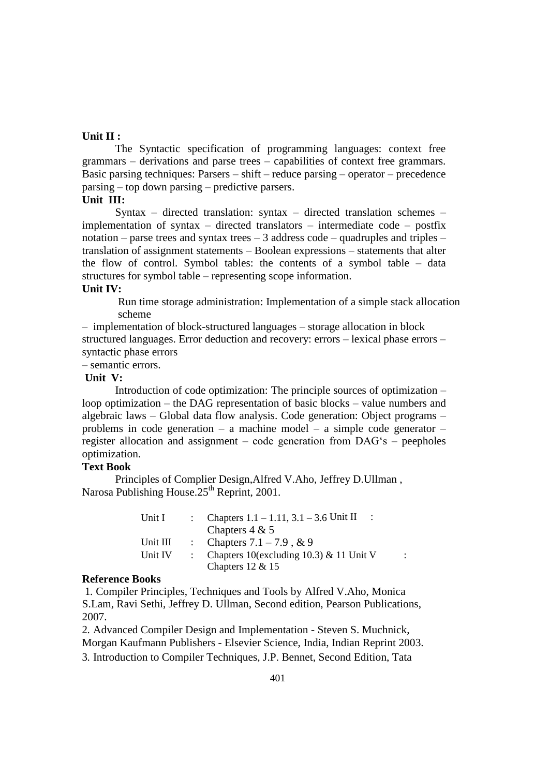### **Unit II :**

The Syntactic specification of programming languages: context free grammars – derivations and parse trees – capabilities of context free grammars. Basic parsing techniques: Parsers – shift – reduce parsing – operator – precedence parsing – top down parsing – predictive parsers.

### **Unit III:**

Syntax – directed translation: syntax – directed translation schemes – implementation of syntax – directed translators – intermediate code – postfix notation – parse trees and syntax trees – 3 address code – quadruples and triples – translation of assignment statements – Boolean expressions – statements that alter the flow of control. Symbol tables: the contents of a symbol table – data structures for symbol table – representing scope information.

# **Unit IV:**

Run time storage administration: Implementation of a simple stack allocation scheme

– implementation of block-structured languages – storage allocation in block structured languages. Error deduction and recovery: errors – lexical phase errors – syntactic phase errors

– semantic errors.

### **Unit V:**

Introduction of code optimization: The principle sources of optimization – loop optimization – the DAG representation of basic blocks – value numbers and algebraic laws – Global data flow analysis. Code generation: Object programs – problems in code generation – a machine model – a simple code generator – register allocation and assignment – code generation from DAG's – peepholes optimization.

# **Text Book**

Principles of Complier Design,Alfred V.Aho, Jeffrey D.Ullman , Narosa Publishing House.25<sup>th</sup> Reprint, 2001.

| Unit I   | : Chapters $1.1 - 1.11$ , $3.1 - 3.6$ Unit II |  |
|----------|-----------------------------------------------|--|
|          | Chapters $4 & 5$                              |  |
| Unit III | : Chapters $7.1 - 7.9$ , & 9                  |  |
| Unit IV  | : Chapters 10(excluding 10.3) & 11 Unit V     |  |
|          | Chapters $12 \& 15$                           |  |

#### **Reference Books**

1. Compiler Principles, Techniques and Tools by Alfred V.Aho, Monica S.Lam, Ravi Sethi, Jeffrey D. Ullman, Second edition, Pearson Publications, 2007.

2. Advanced Compiler Design and Implementation - Steven S. Muchnick, Morgan Kaufmann Publishers - Elsevier Science, India, Indian Reprint 2003. 3. Introduction to Compiler Techniques, J.P. Bennet, Second Edition, Tata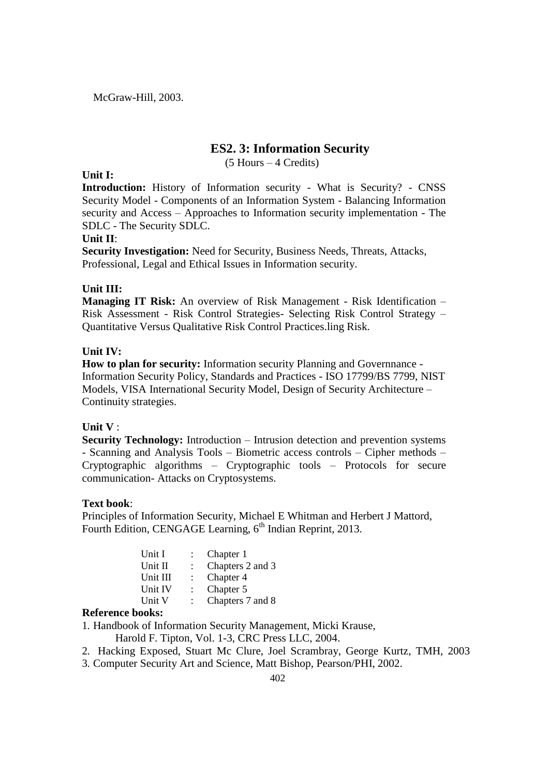McGraw-Hill, 2003.

# **ES2. 3: Information Security**

(5 Hours – 4 Credits)

### **Unit I:**

**Introduction:** History of Information security - What is Security? - CNSS Security Model - Components of an Information System - Balancing Information security and Access – Approaches to Information security implementation - The SDLC - The Security SDLC.

### **Unit II**:

**Security Investigation:** Need for Security, Business Needs, Threats, Attacks, Professional, Legal and Ethical Issues in Information security.

### **Unit III:**

**Managing IT Risk:** An overview of Risk Management - Risk Identification – Risk Assessment - Risk Control Strategies- Selecting Risk Control Strategy – Quantitative Versus Qualitative Risk Control Practices.ling Risk.

### **Unit IV:**

**How to plan for security:** Information security Planning and Governnance - Information Security Policy, Standards and Practices - ISO 17799/BS 7799, NIST Models, VISA International Security Model, Design of Security Architecture – Continuity strategies.

### **Unit V** :

**Security Technology:** Introduction – Intrusion detection and prevention systems - Scanning and Analysis Tools – Biometric access controls – Cipher methods – Cryptographic algorithms – Cryptographic tools – Protocols for secure communication- Attacks on Cryptosystems.

### **Text book**:

Principles of Information Security, Michael E Whitman and Herbert J Mattord, Fourth Edition, CENGAGE Learning, 6<sup>th</sup> Indian Reprint, 2013.

| Unit I   | Chapter 1        |
|----------|------------------|
| Unit II  | Chapters 2 and 3 |
| Unit III | Chapter 4        |
| Unit IV  | Chapter 5        |
| Unit V   | Chapters 7 and 8 |
|          |                  |

### **Reference books:**

1. Handbook of Information Security Management, Micki Krause,

Harold F. Tipton, Vol. 1-3, CRC Press LLC, 2004.

- 2. Hacking Exposed, Stuart Mc Clure, Joel Scrambray, George Kurtz, TMH, 2003
- 3. Computer Security Art and Science, Matt Bishop, Pearson/PHI, 2002.